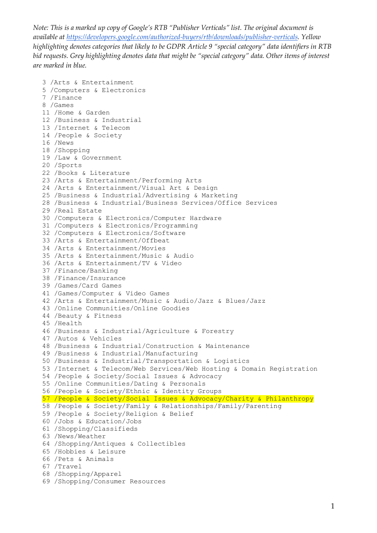```
3 /Arts & Entertainment
5 /Computers & Electronics
7 /Finance
8 /Games
11 /Home & Garden
12 /Business & Industrial
13 /Internet & Telecom
14 /People & Society
16 /News
18 /Shopping
19 /Law & Government
20 /Sports
22 /Books & Literature
23 /Arts & Entertainment/Performing Arts
24 /Arts & Entertainment/Visual Art & Design
25 /Business & Industrial/Advertising & Marketing
28 /Business & Industrial/Business Services/Office Services
29 /Real Estate
30 /Computers & Electronics/Computer Hardware
31 /Computers & Electronics/Programming
32 /Computers & Electronics/Software
33 /Arts & Entertainment/Offbeat
34 /Arts & Entertainment/Movies
35 /Arts & Entertainment/Music & Audio
36 /Arts & Entertainment/TV & Video
37 /Finance/Banking
38 /Finance/Insurance
39 /Games/Card Games
41 /Games/Computer & Video Games
42 /Arts & Entertainment/Music & Audio/Jazz & Blues/Jazz
43 /Online Communities/Online Goodies
44 /Beauty & Fitness
45 /Health
46 /Business & Industrial/Agriculture & Forestry
47 /Autos & Vehicles
48 /Business & Industrial/Construction & Maintenance
49 /Business & Industrial/Manufacturing
50 /Business & Industrial/Transportation & Logistics
53 /Internet & Telecom/Web Services/Web Hosting & Domain Registration
54 /People & Society/Social Issues & Advocacy
55 /Online Communities/Dating & Personals
56 /People & Society/Ethnic & Identity Groups
57 /People & Society/Social Issues & Advocacy/Charity & Philanthropy
58 /People & Society/Family & Relationships/Family/Parenting
59 /People & Society/Religion & Belief
60 /Jobs & Education/Jobs
61 /Shopping/Classifieds
63 /News/Weather
64 /Shopping/Antiques & Collectibles
65 /Hobbies & Leisure
66 /Pets & Animals
67 /Travel
68 /Shopping/Apparel
69 /Shopping/Consumer Resources
```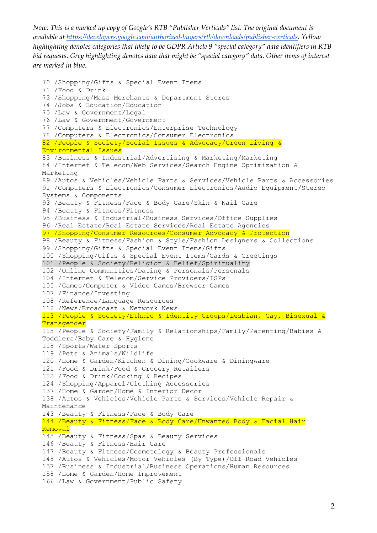```
70 /Shopping/Gifts & Special Event Items
71 /Food & Drink
73 /Shopping/Mass Merchants & Department Stores
74 /Jobs & Education/Education
75 /Law & Government/Legal
76 /Law & Government/Government
77 /Computers & Electronics/Enterprise Technology
78 /Computers & Electronics/Consumer Electronics
82 /People & Society/Social Issues & Advocacy/Green Living & 
Environmental Issues
83 /Business & Industrial/Advertising & Marketing/Marketing
84 /Internet & Telecom/Web Services/Search Engine Optimization & 
Marketing
89 /Autos & Vehicles/Vehicle Parts & Services/Vehicle Parts & Accessories
91 /Computers & Electronics/Consumer Electronics/Audio Equipment/Stereo 
Systems & Components
93 /Beauty & Fitness/Face & Body Care/Skin & Nail Care
94 /Beauty & Fitness/Fitness
95 /Business & Industrial/Business Services/Office Supplies
96 /Real Estate/Real Estate Services/Real Estate Agencies
97 /Shopping/Consumer Resources/Consumer Advocacy & Protection
98 /Beauty & Fitness/Fashion & Style/Fashion Designers & Collections
99 /Shopping/Gifts & Special Event Items/Gifts
100 /Shopping/Gifts & Special Event Items/Cards & Greetings
101 /People & Society/Religion & Belief/Spirituality
102 /Online Communities/Dating & Personals/Personals
104 /Internet & Telecom/Service Providers/ISPs
105 /Games/Computer & Video Games/Browser Games
107 /Finance/Investing
108 /Reference/Language Resources
112 /News/Broadcast & Network News
113 /People & Society/Ethnic & Identity Groups/Lesbian, Gay, Bisexual & 
Transgender
115 /People & Society/Family & Relationships/Family/Parenting/Babies & 
Toddlers/Baby Care & Hygiene
118 /Sports/Water Sports
119 /Pets & Animals/Wildlife
120 /Home & Garden/Kitchen & Dining/Cookware & Diningware
121 /Food & Drink/Food & Grocery Retailers
122 /Food & Drink/Cooking & Recipes
124 /Shopping/Apparel/Clothing Accessories
137 /Home & Garden/Home & Interior Decor
138 /Autos & Vehicles/Vehicle Parts & Services/Vehicle Repair & 
Maintenance
143 /Beauty & Fitness/Face & Body Care
144 /Beauty & Fitness/Face & Body Care/Unwanted Body & Facial Hair 
Removal
145 /Beauty & Fitness/Spas & Beauty Services
146 /Beauty & Fitness/Hair Care
147 /Beauty & Fitness/Cosmetology & Beauty Professionals
148 /Autos & Vehicles/Motor Vehicles (By Type)/Off-Road Vehicles
157 /Business & Industrial/Business Operations/Human Resources
158 /Home & Garden/Home Improvement
166 /Law & Government/Public Safety
```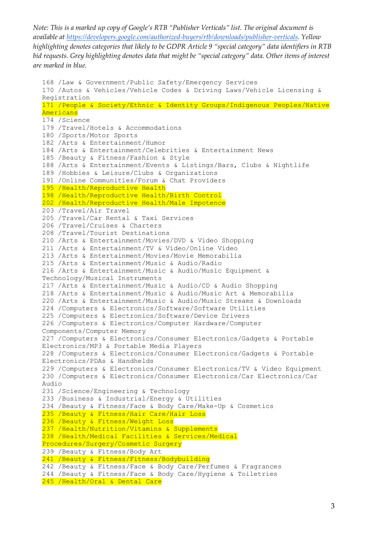```
168 /Law & Government/Public Safety/Emergency Services
170 /Autos & Vehicles/Vehicle Codes & Driving Laws/Vehicle Licensing & 
Registration
171 /People & Society/Ethnic & Identity Groups/Indigenous Peoples/Native 
Americans
174 /Science
179 /Travel/Hotels & Accommodations
180 /Sports/Motor Sports
182 /Arts & Entertainment/Humor
184 /Arts & Entertainment/Celebrities & Entertainment News
185 /Beauty & Fitness/Fashion & Style
188 /Arts & Entertainment/Events & Listings/Bars, Clubs & Nightlife
189 /Hobbies & Leisure/Clubs & Organizations
191 /Online Communities/Forum & Chat Providers
195 /Health/Reproductive Health
198 /Health/Reproductive Health/Birth Control
202 /Health/Reproductive Health/Male Impotence
203 /Travel/Air Travel
205 /Travel/Car Rental & Taxi Services
206 /Travel/Cruises & Charters
208 /Travel/Tourist Destinations
210 /Arts & Entertainment/Movies/DVD & Video Shopping
211 /Arts & Entertainment/TV & Video/Online Video
213 /Arts & Entertainment/Movies/Movie Memorabilia
215 /Arts & Entertainment/Music & Audio/Radio
216 /Arts & Entertainment/Music & Audio/Music Equipment & 
Technology/Musical Instruments
217 /Arts & Entertainment/Music & Audio/CD & Audio Shopping
218 /Arts & Entertainment/Music & Audio/Music Art & Memorabilia
220 /Arts & Entertainment/Music & Audio/Music Streams & Downloads
224 /Computers & Electronics/Software/Software Utilities
225 /Computers & Electronics/Software/Device Drivers
226 /Computers & Electronics/Computer Hardware/Computer 
Components/Computer Memory
227 /Computers & Electronics/Consumer Electronics/Gadgets & Portable 
Electronics/MP3 & Portable Media Players
228 /Computers & Electronics/Consumer Electronics/Gadgets & Portable 
Electronics/PDAs & Handhelds
229 /Computers & Electronics/Consumer Electronics/TV & Video Equipment
230 /Computers & Electronics/Consumer Electronics/Car Electronics/Car 
Audio
231 /Science/Engineering & Technology
233 /Business & Industrial/Energy & Utilities
234 /Beauty & Fitness/Face & Body Care/Make-Up & Cosmetics
235 /Beauty & Fitness/Hair Care/Hair Loss
236 /Beauty & Fitness/Weight Loss
237 /Health/Nutrition/Vitamins & Supplements
238 /Health/Medical Facilities & Services/Medical 
Procedures/Surgery/Cosmetic Surgery
239 /Beauty & Fitness/Body Art
241 /Beauty & Fitness/Fitness/Bodybuilding
242 /Beauty & Fitness/Face & Body Care/Perfumes & Fragrances
244 /Beauty & Fitness/Face & Body Care/Hygiene & Toiletries
245 /Health/Oral & Dental Care
```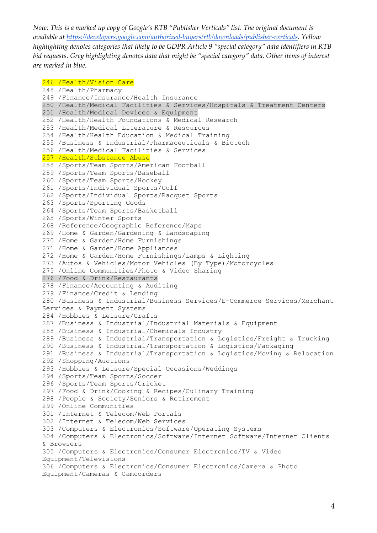## 246 /Health/Vision Care

```
248 /Health/Pharmacy
249 /Finance/Insurance/Health Insurance
250 /Health/Medical Facilities & Services/Hospitals & Treatment Centers
251 /Health/Medical Devices & Equipment
252 /Health/Health Foundations & Medical Research
253 /Health/Medical Literature & Resources
254 /Health/Health Education & Medical Training
255 /Business & Industrial/Pharmaceuticals & Biotech
256 /Health/Medical Facilities & Services
257 /Health/Substance Abuse
258 /Sports/Team Sports/American Football
259 /Sports/Team Sports/Baseball
260 /Sports/Team Sports/Hockey
261 /Sports/Individual Sports/Golf
262 /Sports/Individual Sports/Racquet Sports
263 /Sports/Sporting Goods
264 /Sports/Team Sports/Basketball
265 /Sports/Winter Sports
268 /Reference/Geographic Reference/Maps
269 /Home & Garden/Gardening & Landscaping
270 /Home & Garden/Home Furnishings
271 /Home & Garden/Home Appliances
272 /Home & Garden/Home Furnishings/Lamps & Lighting
273 /Autos & Vehicles/Motor Vehicles (By Type)/Motorcycles
275 /Online Communities/Photo & Video Sharing
276 /Food & Drink/Restaurants
278 /Finance/Accounting & Auditing
279 /Finance/Credit & Lending
280 /Business & Industrial/Business Services/E-Commerce Services/Merchant 
Services & Payment Systems
284 /Hobbies & Leisure/Crafts
287 /Business & Industrial/Industrial Materials & Equipment
288 /Business & Industrial/Chemicals Industry
289 /Business & Industrial/Transportation & Logistics/Freight & Trucking
290 /Business & Industrial/Transportation & Logistics/Packaging
291 /Business & Industrial/Transportation & Logistics/Moving & Relocation
292 /Shopping/Auctions
293 /Hobbies & Leisure/Special Occasions/Weddings
294 /Sports/Team Sports/Soccer
296 /Sports/Team Sports/Cricket
297 /Food & Drink/Cooking & Recipes/Culinary Training
298 /People & Society/Seniors & Retirement
299 /Online Communities
301 /Internet & Telecom/Web Portals
302 /Internet & Telecom/Web Services
303 /Computers & Electronics/Software/Operating Systems
304 /Computers & Electronics/Software/Internet Software/Internet Clients 
& Browsers
305 /Computers & Electronics/Consumer Electronics/TV & Video 
Equipment/Televisions
306 /Computers & Electronics/Consumer Electronics/Camera & Photo 
Equipment/Cameras & Camcorders
```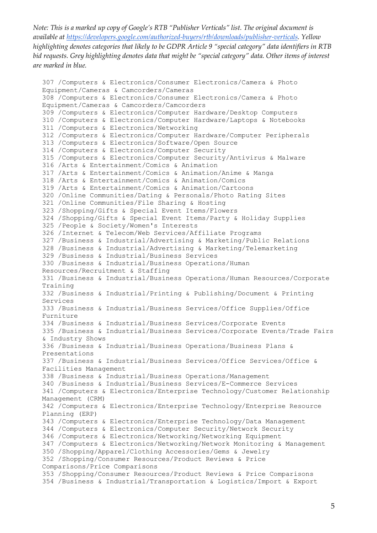```
307 /Computers & Electronics/Consumer Electronics/Camera & Photo 
Equipment/Cameras & Camcorders/Cameras
308 /Computers & Electronics/Consumer Electronics/Camera & Photo 
Equipment/Cameras & Camcorders/Camcorders
309 /Computers & Electronics/Computer Hardware/Desktop Computers
310 /Computers & Electronics/Computer Hardware/Laptops & Notebooks
311 /Computers & Electronics/Networking
312 /Computers & Electronics/Computer Hardware/Computer Peripherals
313 /Computers & Electronics/Software/Open Source
314 /Computers & Electronics/Computer Security
315 /Computers & Electronics/Computer Security/Antivirus & Malware
316 /Arts & Entertainment/Comics & Animation
317 /Arts & Entertainment/Comics & Animation/Anime & Manga
318 /Arts & Entertainment/Comics & Animation/Comics
319 /Arts & Entertainment/Comics & Animation/Cartoons
320 /Online Communities/Dating & Personals/Photo Rating Sites
321 /Online Communities/File Sharing & Hosting
323 /Shopping/Gifts & Special Event Items/Flowers
324 /Shopping/Gifts & Special Event Items/Party & Holiday Supplies
325 /People & Society/Women's Interests
326 /Internet & Telecom/Web Services/Affiliate Programs
327 /Business & Industrial/Advertising & Marketing/Public Relations
328 /Business & Industrial/Advertising & Marketing/Telemarketing
329 /Business & Industrial/Business Services
330 /Business & Industrial/Business Operations/Human 
Resources/Recruitment & Staffing
331 /Business & Industrial/Business Operations/Human Resources/Corporate 
Training
332 /Business & Industrial/Printing & Publishing/Document & Printing 
Services
333 /Business & Industrial/Business Services/Office Supplies/Office 
Furniture
334 /Business & Industrial/Business Services/Corporate Events
335 /Business & Industrial/Business Services/Corporate Events/Trade Fairs 
& Industry Shows
336 /Business & Industrial/Business Operations/Business Plans & 
Presentations
337 /Business & Industrial/Business Services/Office Services/Office & 
Facilities Management
338 /Business & Industrial/Business Operations/Management
340 /Business & Industrial/Business Services/E-Commerce Services
341 /Computers & Electronics/Enterprise Technology/Customer Relationship 
Management (CRM)
342 /Computers & Electronics/Enterprise Technology/Enterprise Resource 
Planning (ERP)
343 /Computers & Electronics/Enterprise Technology/Data Management
344 /Computers & Electronics/Computer Security/Network Security
346 /Computers & Electronics/Networking/Networking Equipment
347 /Computers & Electronics/Networking/Network Monitoring & Management
350 /Shopping/Apparel/Clothing Accessories/Gems & Jewelry
352 /Shopping/Consumer Resources/Product Reviews & Price 
Comparisons/Price Comparisons
353 /Shopping/Consumer Resources/Product Reviews & Price Comparisons
354 /Business & Industrial/Transportation & Logistics/Import & Export
```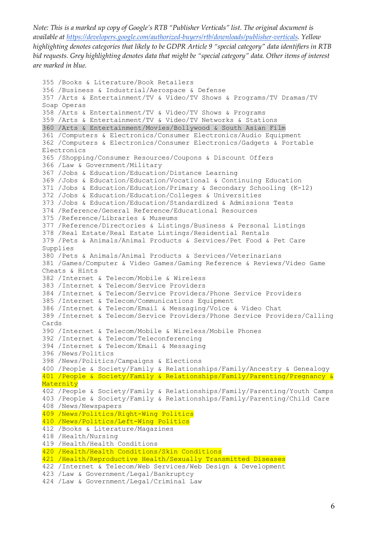```
355 /Books & Literature/Book Retailers
356 /Business & Industrial/Aerospace & Defense
357 /Arts & Entertainment/TV & Video/TV Shows & Programs/TV Dramas/TV 
Soap Operas
358 /Arts & Entertainment/TV & Video/TV Shows & Programs
359 /Arts & Entertainment/TV & Video/TV Networks & Stations
360 /Arts & Entertainment/Movies/Bollywood & South Asian Film
361 /Computers & Electronics/Consumer Electronics/Audio Equipment
362 /Computers & Electronics/Consumer Electronics/Gadgets & Portable 
Electronics
365 /Shopping/Consumer Resources/Coupons & Discount Offers
366 /Law & Government/Military
367 /Jobs & Education/Education/Distance Learning
369 /Jobs & Education/Education/Vocational & Continuing Education
371 /Jobs & Education/Education/Primary & Secondary Schooling (K-12)
372 /Jobs & Education/Education/Colleges & Universities
373 /Jobs & Education/Education/Standardized & Admissions Tests
374 /Reference/General Reference/Educational Resources
375 /Reference/Libraries & Museums
377 /Reference/Directories & Listings/Business & Personal Listings
378 /Real Estate/Real Estate Listings/Residential Rentals
379 /Pets & Animals/Animal Products & Services/Pet Food & Pet Care 
Supplies
380 /Pets & Animals/Animal Products & Services/Veterinarians
381 /Games/Computer & Video Games/Gaming Reference & Reviews/Video Game 
Cheats & Hints
382 /Internet & Telecom/Mobile & Wireless
383 /Internet & Telecom/Service Providers
384 /Internet & Telecom/Service Providers/Phone Service Providers
385 /Internet & Telecom/Communications Equipment
386 /Internet & Telecom/Email & Messaging/Voice & Video Chat
389 /Internet & Telecom/Service Providers/Phone Service Providers/Calling 
Cards
390 /Internet & Telecom/Mobile & Wireless/Mobile Phones
392 /Internet & Telecom/Teleconferencing
394 /Internet & Telecom/Email & Messaging
396 /News/Politics
398 /News/Politics/Campaigns & Elections
400 /People & Society/Family & Relationships/Family/Ancestry & Genealogy
401 /People & Society/Family & Relationships/Family/Parenting/Pregnancy & 
Maternity
402 /People & Society/Family & Relationships/Family/Parenting/Youth Camps
403 /People & Society/Family & Relationships/Family/Parenting/Child Care
408 /News/Newspapers
409 /News/Politics/Right-Wing Politics
410 /News/Politics/Left-Wing Politics
412 /Books & Literature/Magazines
418 /Health/Nursing
419 /Health/Health Conditions
420 /Health/Health Conditions/Skin Conditions
421 /Health/Reproductive Health/Sexually Transmitted Diseases
422 /Internet & Telecom/Web Services/Web Design & Development
423 /Law & Government/Legal/Bankruptcy
424 /Law & Government/Legal/Criminal Law
```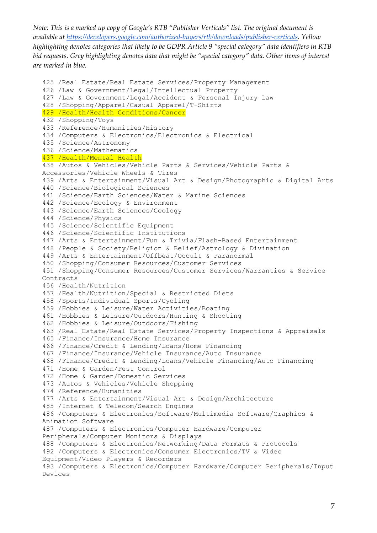425 /Real Estate/Real Estate Services/Property Management 426 /Law & Government/Legal/Intellectual Property 427 /Law & Government/Legal/Accident & Personal Injury Law 428 /Shopping/Apparel/Casual Apparel/T-Shirts 429 /Health/Health Conditions/Cancer 432 /Shopping/Toys 433 /Reference/Humanities/History 434 /Computers & Electronics/Electronics & Electrical 435 /Science/Astronomy 436 /Science/Mathematics 437 /Health/Mental Health 438 /Autos & Vehicles/Vehicle Parts & Services/Vehicle Parts & Accessories/Vehicle Wheels & Tires 439 /Arts & Entertainment/Visual Art & Design/Photographic & Digital Arts 440 /Science/Biological Sciences 441 /Science/Earth Sciences/Water & Marine Sciences 442 /Science/Ecology & Environment 443 /Science/Earth Sciences/Geology 444 /Science/Physics 445 /Science/Scientific Equipment 446 /Science/Scientific Institutions 447 /Arts & Entertainment/Fun & Trivia/Flash-Based Entertainment 448 /People & Society/Religion & Belief/Astrology & Divination 449 /Arts & Entertainment/Offbeat/Occult & Paranormal 450 /Shopping/Consumer Resources/Customer Services 451 /Shopping/Consumer Resources/Customer Services/Warranties & Service Contracts 456 /Health/Nutrition 457 /Health/Nutrition/Special & Restricted Diets 458 /Sports/Individual Sports/Cycling 459 /Hobbies & Leisure/Water Activities/Boating 461 /Hobbies & Leisure/Outdoors/Hunting & Shooting 462 /Hobbies & Leisure/Outdoors/Fishing 463 /Real Estate/Real Estate Services/Property Inspections & Appraisals 465 /Finance/Insurance/Home Insurance 466 /Finance/Credit & Lending/Loans/Home Financing 467 /Finance/Insurance/Vehicle Insurance/Auto Insurance 468 /Finance/Credit & Lending/Loans/Vehicle Financing/Auto Financing 471 /Home & Garden/Pest Control 472 /Home & Garden/Domestic Services 473 /Autos & Vehicles/Vehicle Shopping 474 /Reference/Humanities 477 /Arts & Entertainment/Visual Art & Design/Architecture 485 /Internet & Telecom/Search Engines 486 /Computers & Electronics/Software/Multimedia Software/Graphics & Animation Software 487 /Computers & Electronics/Computer Hardware/Computer Peripherals/Computer Monitors & Displays 488 /Computers & Electronics/Networking/Data Formats & Protocols 492 /Computers & Electronics/Consumer Electronics/TV & Video Equipment/Video Players & Recorders 493 /Computers & Electronics/Computer Hardware/Computer Peripherals/Input Devices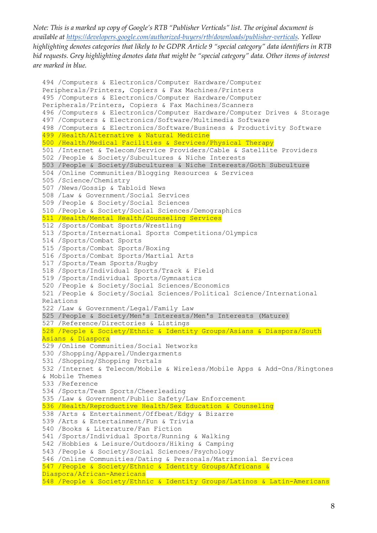```
494 /Computers & Electronics/Computer Hardware/Computer 
Peripherals/Printers, Copiers & Fax Machines/Printers
495 /Computers & Electronics/Computer Hardware/Computer 
Peripherals/Printers, Copiers & Fax Machines/Scanners
496 /Computers & Electronics/Computer Hardware/Computer Drives & Storage
497 /Computers & Electronics/Software/Multimedia Software
498 /Computers & Electronics/Software/Business & Productivity Software
499 /Health/Alternative & Natural Medicine
500 /Health/Medical Facilities & Services/Physical Therapy
501 /Internet & Telecom/Service Providers/Cable & Satellite Providers
502 /People & Society/Subcultures & Niche Interests
503 /People & Society/Subcultures & Niche Interests/Goth Subculture
504 /Online Communities/Blogging Resources & Services
505 /Science/Chemistry
507 /News/Gossip & Tabloid News
508 /Law & Government/Social Services
509 /People & Society/Social Sciences
510 /People & Society/Social Sciences/Demographics
511 /Health/Mental Health/Counseling Services
512 /Sports/Combat Sports/Wrestling
513 /Sports/International Sports Competitions/Olympics
514 /Sports/Combat Sports
515 /Sports/Combat Sports/Boxing
516 /Sports/Combat Sports/Martial Arts
517 /Sports/Team Sports/Rugby
518 /Sports/Individual Sports/Track & Field
519 /Sports/Individual Sports/Gymnastics
520 /People & Society/Social Sciences/Economics
521 /People & Society/Social Sciences/Political Science/International 
Relations
522 /Law & Government/Legal/Family Law
525 /People & Society/Men's Interests/Men's Interests (Mature)
527 /Reference/Directories & Listings
528 /People & Society/Ethnic & Identity Groups/Asians & Diaspora/South 
Asians & Diaspora
529 /Online Communities/Social Networks
530 /Shopping/Apparel/Undergarments
531 /Shopping/Shopping Portals
532 /Internet & Telecom/Mobile & Wireless/Mobile Apps & Add-Ons/Ringtones 
& Mobile Themes
533 /Reference
534 /Sports/Team Sports/Cheerleading
535 /Law & Government/Public Safety/Law Enforcement
536 /Health/Reproductive Health/Sex Education & Counseling
538 /Arts & Entertainment/Offbeat/Edgy & Bizarre
539 /Arts & Entertainment/Fun & Trivia
540 /Books & Literature/Fan Fiction
541 /Sports/Individual Sports/Running & Walking
542 /Hobbies & Leisure/Outdoors/Hiking & Camping
543 /People & Society/Social Sciences/Psychology
546 /Online Communities/Dating & Personals/Matrimonial Services
547 /People & Society/Ethnic & Identity Groups/Africans & 
Diaspora/African-Americans
548 /People & Society/Ethnic & Identity Groups/Latinos & Latin-Americans
```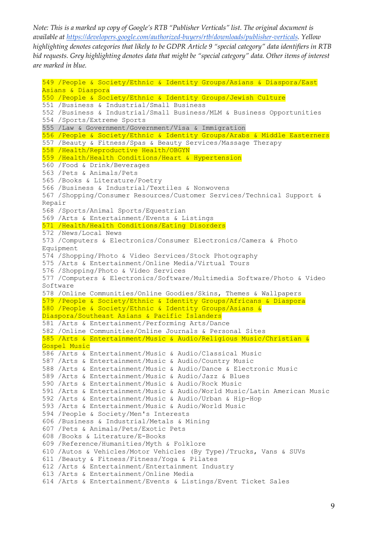549 /People & Society/Ethnic & Identity Groups/Asians & Diaspora/East Asians & Diaspora 550 /People & Society/Ethnic & Identity Groups/Jewish Culture 551 /Business & Industrial/Small Business 552 /Business & Industrial/Small Business/MLM & Business Opportunities 554 /Sports/Extreme Sports 555 /Law & Government/Government/Visa & Immigration 556 /People & Society/Ethnic & Identity Groups/Arabs & Middle Easterners 557 /Beauty & Fitness/Spas & Beauty Services/Massage Therapy 558 /Health/Reproductive Health/OBGYN 559 /Health/Health Conditions/Heart & Hypertension 560 /Food & Drink/Beverages 563 /Pets & Animals/Pets 565 /Books & Literature/Poetry 566 /Business & Industrial/Textiles & Nonwovens 567 /Shopping/Consumer Resources/Customer Services/Technical Support & Repair 568 /Sports/Animal Sports/Equestrian 569 /Arts & Entertainment/Events & Listings 571 /Health/Health Conditions/Eating Disorders 572 /News/Local News 573 /Computers & Electronics/Consumer Electronics/Camera & Photo Equipment 574 /Shopping/Photo & Video Services/Stock Photography 575 /Arts & Entertainment/Online Media/Virtual Tours 576 /Shopping/Photo & Video Services 577 /Computers & Electronics/Software/Multimedia Software/Photo & Video Software 578 /Online Communities/Online Goodies/Skins, Themes & Wallpapers 579 /People & Society/Ethnic & Identity Groups/Africans & Diaspora 580 /People & Society/Ethnic & Identity Groups/Asians & Diaspora/Southeast Asians & Pacific Islanders 581 /Arts & Entertainment/Performing Arts/Dance 582 /Online Communities/Online Journals & Personal Sites 585 /Arts & Entertainment/Music & Audio/Religious Music/Christian & Gospel Music 586 /Arts & Entertainment/Music & Audio/Classical Music 587 /Arts & Entertainment/Music & Audio/Country Music 588 /Arts & Entertainment/Music & Audio/Dance & Electronic Music 589 /Arts & Entertainment/Music & Audio/Jazz & Blues 590 /Arts & Entertainment/Music & Audio/Rock Music 591 /Arts & Entertainment/Music & Audio/World Music/Latin American Music 592 /Arts & Entertainment/Music & Audio/Urban & Hip-Hop 593 /Arts & Entertainment/Music & Audio/World Music 594 /People & Society/Men's Interests 606 /Business & Industrial/Metals & Mining 607 /Pets & Animals/Pets/Exotic Pets 608 /Books & Literature/E-Books 609 /Reference/Humanities/Myth & Folklore 610 /Autos & Vehicles/Motor Vehicles (By Type)/Trucks, Vans & SUVs 611 /Beauty & Fitness/Fitness/Yoga & Pilates 612 /Arts & Entertainment/Entertainment Industry 613 /Arts & Entertainment/Online Media 614 /Arts & Entertainment/Events & Listings/Event Ticket Sales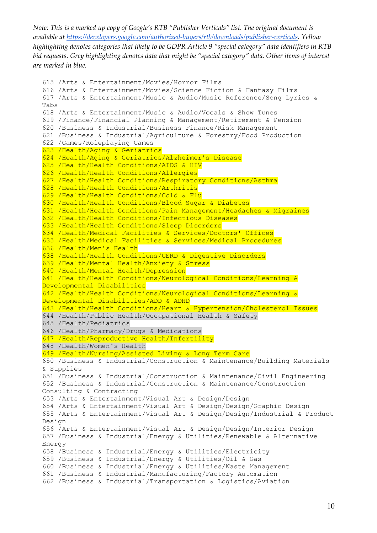```
615 /Arts & Entertainment/Movies/Horror Films
616 /Arts & Entertainment/Movies/Science Fiction & Fantasy Films
617 /Arts & Entertainment/Music & Audio/Music Reference/Song Lyrics & 
Tabs
618 /Arts & Entertainment/Music & Audio/Vocals & Show Tunes
619 /Finance/Financial Planning & Management/Retirement & Pension
620 /Business & Industrial/Business Finance/Risk Management
621 /Business & Industrial/Agriculture & Forestry/Food Production
622 /Games/Roleplaying Games
623 /Health/Aging & Geriatrics
624 /Health/Aging & Geriatrics/Alzheimer's Disease
625 /Health/Health Conditions/AIDS & HIV
626 /Health/Health Conditions/Allergies
627 /Health/Health Conditions/Respiratory Conditions/Asthma
628 /Health/Health Conditions/Arthritis
629 /Health/Health Conditions/Cold & Flu
630 /Health/Health Conditions/Blood Sugar & Diabetes
631 /Health/Health Conditions/Pain Management/Headaches & Migraines
632 /Health/Health Conditions/Infectious Diseases
633 /Health/Health Conditions/Sleep Disorders
634 /Health/Medical Facilities & Services/Doctors' Offices
635 /Health/Medical Facilities & Services/Medical Procedures
636 /Health/Men's Health
638 /Health/Health Conditions/GERD & Digestive Disorders
639 /Health/Mental Health/Anxiety & Stress
640 /Health/Mental Health/Depression
641 /Health/Health Conditions/Neurological Conditions/Learning & 
Developmental Disabilities
642 /Health/Health Conditions/Neurological Conditions/Learning & 
Developmental Disabilities/ADD & ADHD
643 /Health/Health Conditions/Heart & Hypertension/Cholesterol Issues
644 /Health/Public Health/Occupational Health & Safety
645 /Health/Pediatrics
646 /Health/Pharmacy/Drugs & Medications
647 /Health/Reproductive Health/Infertility
648 /Health/Women's Health
649 /Health/Nursing/Assisted Living & Long Term Care
650 /Business & Industrial/Construction & Maintenance/Building Materials 
& Supplies
651 /Business & Industrial/Construction & Maintenance/Civil Engineering
652 /Business & Industrial/Construction & Maintenance/Construction 
Consulting & Contracting
653 /Arts & Entertainment/Visual Art & Design/Design
654 /Arts & Entertainment/Visual Art & Design/Design/Graphic Design
655 /Arts & Entertainment/Visual Art & Design/Design/Industrial & Product 
Design
656 /Arts & Entertainment/Visual Art & Design/Design/Interior Design
657 /Business & Industrial/Energy & Utilities/Renewable & Alternative 
Energy
658 /Business & Industrial/Energy & Utilities/Electricity
659 /Business & Industrial/Energy & Utilities/Oil & Gas
660 /Business & Industrial/Energy & Utilities/Waste Management
661 /Business & Industrial/Manufacturing/Factory Automation
662 /Business & Industrial/Transportation & Logistics/Aviation
```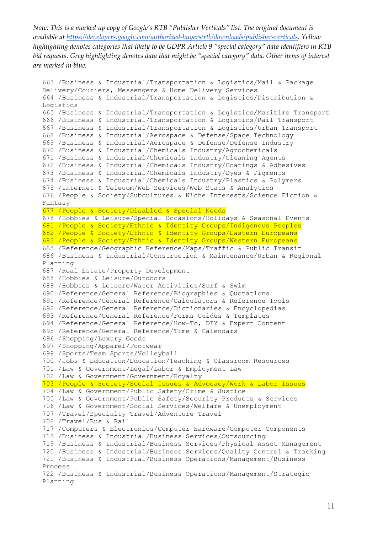```
663 /Business & Industrial/Transportation & Logistics/Mail & Package 
Delivery/Couriers, Messengers & Home Delivery Services
664 /Business & Industrial/Transportation & Logistics/Distribution & 
Logistics
665 /Business & Industrial/Transportation & Logistics/Maritime Transport
666 /Business & Industrial/Transportation & Logistics/Rail Transport
667 /Business & Industrial/Transportation & Logistics/Urban Transport
668 /Business & Industrial/Aerospace & Defense/Space Technology
669 /Business & Industrial/Aerospace & Defense/Defense Industry
670 /Business & Industrial/Chemicals Industry/Agrochemicals
671 /Business & Industrial/Chemicals Industry/Cleaning Agents
672 /Business & Industrial/Chemicals Industry/Coatings & Adhesives
673 /Business & Industrial/Chemicals Industry/Dyes & Pigments
674 /Business & Industrial/Chemicals Industry/Plastics & Polymers
675 /Internet & Telecom/Web Services/Web Stats & Analytics
676 /People & Society/Subcultures & Niche Interests/Science Fiction & 
Fantasy
677 /People & Society/Disabled & Special Needs
678 /Hobbies & Leisure/Special Occasions/Holidays & Seasonal Events
681 /People & Society/Ethnic & Identity Groups/Indigenous Peoples
682 /People & Society/Ethnic & Identity Groups/Eastern Europeans
683 /People & Society/Ethnic & Identity Groups/Western Europeans
685 /Reference/Geographic Reference/Maps/Traffic & Public Transit
686 /Business & Industrial/Construction & Maintenance/Urban & Regional 
Planning
687 /Real Estate/Property Development
688 /Hobbies & Leisure/Outdoors
689 /Hobbies & Leisure/Water Activities/Surf & Swim
690 /Reference/General Reference/Biographies & Quotations
691 /Reference/General Reference/Calculators & Reference Tools
692 /Reference/General Reference/Dictionaries & Encyclopedias
693 /Reference/General Reference/Forms Guides & Templates
694 /Reference/General Reference/How-To, DIY & Expert Content
695 /Reference/General Reference/Time & Calendars
696 /Shopping/Luxury Goods
697 /Shopping/Apparel/Footwear
699 /Sports/Team Sports/Volleyball
700 /Jobs & Education/Education/Teaching & Classroom Resources
701 /Law & Government/Legal/Labor & Employment Law
702 /Law & Government/Government/Royalty
703 /People & Society/Social Issues & Advocacy/Work & Labor Issues
704 /Law & Government/Public Safety/Crime & Justice
705 /Law & Government/Public Safety/Security Products & Services
706 /Law & Government/Social Services/Welfare & Unemployment
707 /Travel/Specialty Travel/Adventure Travel
708 /Travel/Bus & Rail
717 /Computers & Electronics/Computer Hardware/Computer Components
718 /Business & Industrial/Business Services/Outsourcing
719 /Business & Industrial/Business Services/Physical Asset Management
720 /Business & Industrial/Business Services/Quality Control & Tracking
721 /Business & Industrial/Business Operations/Management/Business 
Process
722 /Business & Industrial/Business Operations/Management/Strategic 
Planning
```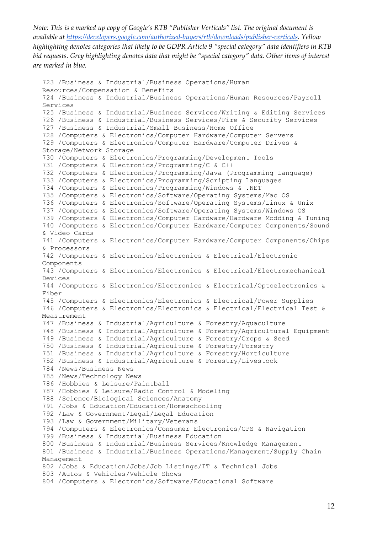```
723 /Business & Industrial/Business Operations/Human 
Resources/Compensation & Benefits
724 /Business & Industrial/Business Operations/Human Resources/Payroll 
Services
725 /Business & Industrial/Business Services/Writing & Editing Services
726 /Business & Industrial/Business Services/Fire & Security Services
727 /Business & Industrial/Small Business/Home Office
728 /Computers & Electronics/Computer Hardware/Computer Servers
729 /Computers & Electronics/Computer Hardware/Computer Drives & 
Storage/Network Storage
730 /Computers & Electronics/Programming/Development Tools
731 /Computers & Electronics/Programming/C & C++
732 /Computers & Electronics/Programming/Java (Programming Language)
733 /Computers & Electronics/Programming/Scripting Languages
734 /Computers & Electronics/Programming/Windows & .NET
735 /Computers & Electronics/Software/Operating Systems/Mac OS
736 /Computers & Electronics/Software/Operating Systems/Linux & Unix
737 /Computers & Electronics/Software/Operating Systems/Windows OS
739 /Computers & Electronics/Computer Hardware/Hardware Modding & Tuning
740 /Computers & Electronics/Computer Hardware/Computer Components/Sound 
& Video Cards
741 /Computers & Electronics/Computer Hardware/Computer Components/Chips 
& Processors
742 /Computers & Electronics/Electronics & Electrical/Electronic 
Components
743 /Computers & Electronics/Electronics & Electrical/Electromechanical 
Devices
744 /Computers & Electronics/Electronics & Electrical/Optoelectronics & 
Fiber
745 /Computers & Electronics/Electronics & Electrical/Power Supplies
746 /Computers & Electronics/Electronics & Electrical/Electrical Test & 
Measurement
747 /Business & Industrial/Agriculture & Forestry/Aquaculture
748 /Business & Industrial/Agriculture & Forestry/Agricultural Equipment
749 /Business & Industrial/Agriculture & Forestry/Crops & Seed
750 /Business & Industrial/Agriculture & Forestry/Forestry
751 /Business & Industrial/Agriculture & Forestry/Horticulture
752 /Business & Industrial/Agriculture & Forestry/Livestock
784 /News/Business News
785 /News/Technology News
786 /Hobbies & Leisure/Paintball
787 /Hobbies & Leisure/Radio Control & Modeling
788 /Science/Biological Sciences/Anatomy
791 /Jobs & Education/Education/Homeschooling
792 /Law & Government/Legal/Legal Education
793 /Law & Government/Military/Veterans
794 /Computers & Electronics/Consumer Electronics/GPS & Navigation
799 /Business & Industrial/Business Education
800 /Business & Industrial/Business Services/Knowledge Management
801 /Business & Industrial/Business Operations/Management/Supply Chain 
Management
802 /Jobs & Education/Jobs/Job Listings/IT & Technical Jobs
803 /Autos & Vehicles/Vehicle Shows
804 /Computers & Electronics/Software/Educational Software
```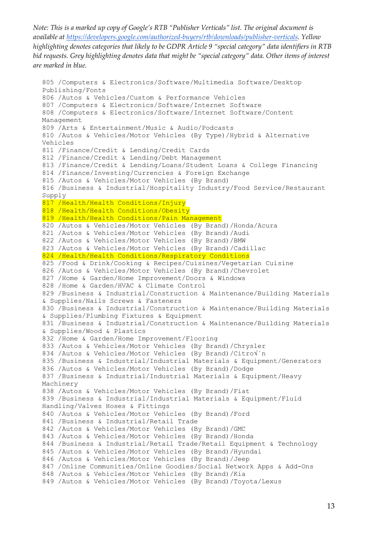```
805 /Computers & Electronics/Software/Multimedia Software/Desktop 
Publishing/Fonts
806 /Autos & Vehicles/Custom & Performance Vehicles
807 /Computers & Electronics/Software/Internet Software
808 /Computers & Electronics/Software/Internet Software/Content 
Management
809 /Arts & Entertainment/Music & Audio/Podcasts
810 /Autos & Vehicles/Motor Vehicles (By Type)/Hybrid & Alternative 
Vehicles
811 /Finance/Credit & Lending/Credit Cards
812 /Finance/Credit & Lending/Debt Management
813 /Finance/Credit & Lending/Loans/Student Loans & College Financing
814 /Finance/Investing/Currencies & Foreign Exchange
815 /Autos & Vehicles/Motor Vehicles (By Brand)
816 /Business & Industrial/Hospitality Industry/Food Service/Restaurant 
Supply
817 /Health/Health Conditions/Injury
818 /Health/Health Conditions/Obesity
819 /Health/Health Conditions/Pain Management
820 /Autos & Vehicles/Motor Vehicles (By Brand)/Honda/Acura
821 /Autos & Vehicles/Motor Vehicles (By Brand)/Audi
822 /Autos & Vehicles/Motor Vehicles (By Brand)/BMW
823 /Autos & Vehicles/Motor Vehicles (By Brand)/Cadillac
824 /Health/Health Conditions/Respiratory Conditions
825 /Food & Drink/Cooking & Recipes/Cuisines/Vegetarian Cuisine
826 /Autos & Vehicles/Motor Vehicles (By Brand)/Chevrolet
827 /Home & Garden/Home Improvement/Doors & Windows
828 /Home & Garden/HVAC & Climate Control
829 /Business & Industrial/Construction & Maintenance/Building Materials 
& Supplies/Nails Screws & Fasteners
830 /Business & Industrial/Construction & Maintenance/Building Materials 
& Supplies/Plumbing Fixtures & Equipment
831 /Business & Industrial/Construction & Maintenance/Building Materials 
& Supplies/Wood & Plastics
832 /Home & Garden/Home Improvement/Flooring
833 /Autos & Vehicles/Motor Vehicles (By Brand)/Chrysler
834 /Autos & Vehicles/Motor Vehicles (By Brand)/Citro√´n
835 /Business & Industrial/Industrial Materials & Equipment/Generators
836 /Autos & Vehicles/Motor Vehicles (By Brand)/Dodge
837 /Business & Industrial/Industrial Materials & Equipment/Heavy 
Machinery
838 /Autos & Vehicles/Motor Vehicles (By Brand)/Fiat
839 /Business & Industrial/Industrial Materials & Equipment/Fluid 
Handling/Valves Hoses & Fittings
840 /Autos & Vehicles/Motor Vehicles (By Brand)/Ford
841 /Business & Industrial/Retail Trade
842 /Autos & Vehicles/Motor Vehicles (By Brand)/GMC
843 /Autos & Vehicles/Motor Vehicles (By Brand)/Honda
844 /Business & Industrial/Retail Trade/Retail Equipment & Technology
845 /Autos & Vehicles/Motor Vehicles (By Brand)/Hyundai
846 /Autos & Vehicles/Motor Vehicles (By Brand)/Jeep
847 /Online Communities/Online Goodies/Social Network Apps & Add-Ons
848 /Autos & Vehicles/Motor Vehicles (By Brand)/Kia
849 /Autos & Vehicles/Motor Vehicles (By Brand)/Toyota/Lexus
```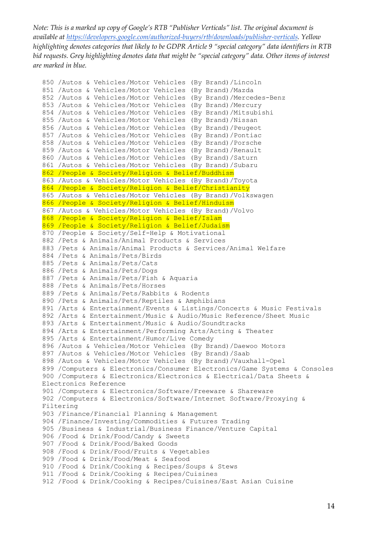```
850 /Autos & Vehicles/Motor Vehicles (By Brand)/Lincoln
851 /Autos & Vehicles/Motor Vehicles (By Brand)/Mazda
852 /Autos & Vehicles/Motor Vehicles (By Brand)/Mercedes-Benz
853 /Autos & Vehicles/Motor Vehicles (By Brand)/Mercury
854 /Autos & Vehicles/Motor Vehicles (By Brand)/Mitsubishi
855 /Autos & Vehicles/Motor Vehicles (By Brand)/Nissan
856 /Autos & Vehicles/Motor Vehicles (By Brand)/Peugeot
857 /Autos & Vehicles/Motor Vehicles (By Brand)/Pontiac
858 /Autos & Vehicles/Motor Vehicles (By Brand)/Porsche
859 /Autos & Vehicles/Motor Vehicles (By Brand)/Renault
860 /Autos & Vehicles/Motor Vehicles (By Brand)/Saturn
861 /Autos & Vehicles/Motor Vehicles (By Brand)/Subaru
862 /People & Society/Religion & Belief/Buddhism
863 /Autos & Vehicles/Motor Vehicles (By Brand)/Toyota
864 /People & Society/Religion & Belief/Christianity
865 /Autos & Vehicles/Motor Vehicles (By Brand)/Volkswagen
866 /People & Society/Religion & Belief/Hinduism
867 /Autos & Vehicles/Motor Vehicles (By Brand)/Volvo
868 /People & Society/Religion & Belief/Islam
869 /People & Society/Religion & Belief/Judaism
870 /People & Society/Self-Help & Motivational
882 /Pets & Animals/Animal Products & Services
883 /Pets & Animals/Animal Products & Services/Animal Welfare
884 /Pets & Animals/Pets/Birds
885 /Pets & Animals/Pets/Cats
886 /Pets & Animals/Pets/Dogs
887 /Pets & Animals/Pets/Fish & Aquaria
888 /Pets & Animals/Pets/Horses
889 /Pets & Animals/Pets/Rabbits & Rodents
890 /Pets & Animals/Pets/Reptiles & Amphibians
891 /Arts & Entertainment/Events & Listings/Concerts & Music Festivals
892 /Arts & Entertainment/Music & Audio/Music Reference/Sheet Music
893 /Arts & Entertainment/Music & Audio/Soundtracks
894 /Arts & Entertainment/Performing Arts/Acting & Theater
895 /Arts & Entertainment/Humor/Live Comedy
896 /Autos & Vehicles/Motor Vehicles (By Brand)/Daewoo Motors
897 /Autos & Vehicles/Motor Vehicles (By Brand)/Saab
898 /Autos & Vehicles/Motor Vehicles (By Brand)/Vauxhall-Opel
899 /Computers & Electronics/Consumer Electronics/Game Systems & Consoles
900 /Computers & Electronics/Electronics & Electrical/Data Sheets & 
Electronics Reference
901 /Computers & Electronics/Software/Freeware & Shareware
902 /Computers & Electronics/Software/Internet Software/Proxying & 
Filtering
903 /Finance/Financial Planning & Management
904 /Finance/Investing/Commodities & Futures Trading
905 /Business & Industrial/Business Finance/Venture Capital
906 /Food & Drink/Food/Candy & Sweets
907 /Food & Drink/Food/Baked Goods
908 /Food & Drink/Food/Fruits & Vegetables
909 /Food & Drink/Food/Meat & Seafood
910 /Food & Drink/Cooking & Recipes/Soups & Stews
911 /Food & Drink/Cooking & Recipes/Cuisines
912 /Food & Drink/Cooking & Recipes/Cuisines/East Asian Cuisine
```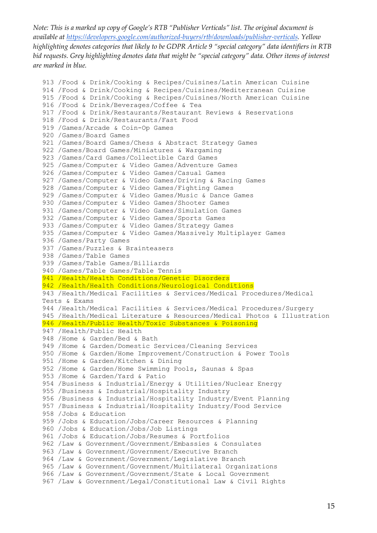```
913 /Food & Drink/Cooking & Recipes/Cuisines/Latin American Cuisine
914 /Food & Drink/Cooking & Recipes/Cuisines/Mediterranean Cuisine
915 /Food & Drink/Cooking & Recipes/Cuisines/North American Cuisine
916 /Food & Drink/Beverages/Coffee & Tea
917 /Food & Drink/Restaurants/Restaurant Reviews & Reservations
918 /Food & Drink/Restaurants/Fast Food
919 /Games/Arcade & Coin-Op Games
920 /Games/Board Games
921 /Games/Board Games/Chess & Abstract Strategy Games
922 /Games/Board Games/Miniatures & Wargaming
923 /Games/Card Games/Collectible Card Games
925 /Games/Computer & Video Games/Adventure Games
926 /Games/Computer & Video Games/Casual Games
927 /Games/Computer & Video Games/Driving & Racing Games
928 /Games/Computer & Video Games/Fighting Games
929 /Games/Computer & Video Games/Music & Dance Games
930 /Games/Computer & Video Games/Shooter Games
931 /Games/Computer & Video Games/Simulation Games
932 /Games/Computer & Video Games/Sports Games
933 /Games/Computer & Video Games/Strategy Games
935 /Games/Computer & Video Games/Massively Multiplayer Games
936 /Games/Party Games
937 /Games/Puzzles & Brainteasers
938 /Games/Table Games
939 /Games/Table Games/Billiards
940 /Games/Table Games/Table Tennis
941 /Health/Health Conditions/Genetic Disorders
942 /Health/Health Conditions/Neurological Conditions
943 /Health/Medical Facilities & Services/Medical Procedures/Medical 
Tests & Exams
944 /Health/Medical Facilities & Services/Medical Procedures/Surgery
945 /Health/Medical Literature & Resources/Medical Photos & Illustration
946 /Health/Public Health/Toxic Substances & Poisoning
947 /Health/Public Health
948 /Home & Garden/Bed & Bath
949 /Home & Garden/Domestic Services/Cleaning Services
950 /Home & Garden/Home Improvement/Construction & Power Tools
951 /Home & Garden/Kitchen & Dining
952 /Home & Garden/Home Swimming Pools, Saunas & Spas
953 /Home & Garden/Yard & Patio
954 /Business & Industrial/Energy & Utilities/Nuclear Energy
955 /Business & Industrial/Hospitality Industry
956 /Business & Industrial/Hospitality Industry/Event Planning
957 /Business & Industrial/Hospitality Industry/Food Service
958 /Jobs & Education
959 /Jobs & Education/Jobs/Career Resources & Planning
960 /Jobs & Education/Jobs/Job Listings
961 /Jobs & Education/Jobs/Resumes & Portfolios
962 /Law & Government/Government/Embassies & Consulates
963 /Law & Government/Government/Executive Branch
964 /Law & Government/Government/Legislative Branch
965 /Law & Government/Government/Multilateral Organizations
966 /Law & Government/Government/State & Local Government
967 /Law & Government/Legal/Constitutional Law & Civil Rights
```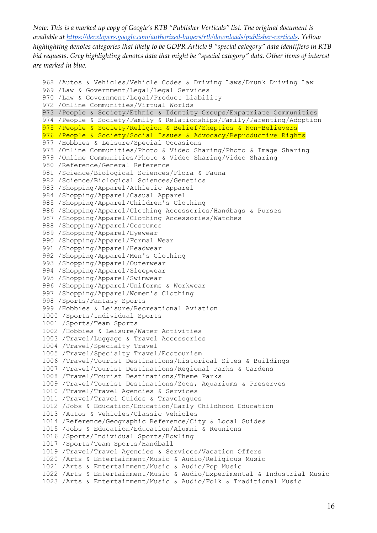```
968 /Autos & Vehicles/Vehicle Codes & Driving Laws/Drunk Driving Law
969 /Law & Government/Legal/Legal Services
970 /Law & Government/Legal/Product Liability
972 /Online Communities/Virtual Worlds
973 /People & Society/Ethnic & Identity Groups/Expatriate Communities
974 /People & Society/Family & Relationships/Family/Parenting/Adoption
975 /People & Society/Religion & Belief/Skeptics & Non-Believers
976 /People & Society/Social Issues & Advocacy/Reproductive Rights
977 /Hobbies & Leisure/Special Occasions
978 /Online Communities/Photo & Video Sharing/Photo & Image Sharing
979 /Online Communities/Photo & Video Sharing/Video Sharing
980 /Reference/General Reference
981 /Science/Biological Sciences/Flora & Fauna
982 /Science/Biological Sciences/Genetics
983 /Shopping/Apparel/Athletic Apparel
984 /Shopping/Apparel/Casual Apparel
985 /Shopping/Apparel/Children's Clothing
986 /Shopping/Apparel/Clothing Accessories/Handbags & Purses
987 /Shopping/Apparel/Clothing Accessories/Watches
988 /Shopping/Apparel/Costumes
989 /Shopping/Apparel/Eyewear
990 /Shopping/Apparel/Formal Wear
991 /Shopping/Apparel/Headwear
992 /Shopping/Apparel/Men's Clothing
993 /Shopping/Apparel/Outerwear
994 /Shopping/Apparel/Sleepwear
995 /Shopping/Apparel/Swimwear
996 /Shopping/Apparel/Uniforms & Workwear
997 /Shopping/Apparel/Women's Clothing
998 /Sports/Fantasy Sports
999 /Hobbies & Leisure/Recreational Aviation
1000 /Sports/Individual Sports
1001 /Sports/Team Sports
1002 /Hobbies & Leisure/Water Activities
1003 /Travel/Luggage & Travel Accessories
1004 /Travel/Specialty Travel
1005 /Travel/Specialty Travel/Ecotourism
1006 /Travel/Tourist Destinations/Historical Sites & Buildings
1007 /Travel/Tourist Destinations/Regional Parks & Gardens
1008 /Travel/Tourist Destinations/Theme Parks
1009 /Travel/Tourist Destinations/Zoos, Aquariums & Preserves
1010 /Travel/Travel Agencies & Services
1011 /Travel/Travel Guides & Travelogues
1012 /Jobs & Education/Education/Early Childhood Education
1013 /Autos & Vehicles/Classic Vehicles
1014 /Reference/Geographic Reference/City & Local Guides
1015 /Jobs & Education/Education/Alumni & Reunions
1016 /Sports/Individual Sports/Bowling
1017 /Sports/Team Sports/Handball
1019 /Travel/Travel Agencies & Services/Vacation Offers
1020 /Arts & Entertainment/Music & Audio/Religious Music
1021 /Arts & Entertainment/Music & Audio/Pop Music
1022 /Arts & Entertainment/Music & Audio/Experimental & Industrial Music
1023 /Arts & Entertainment/Music & Audio/Folk & Traditional Music
```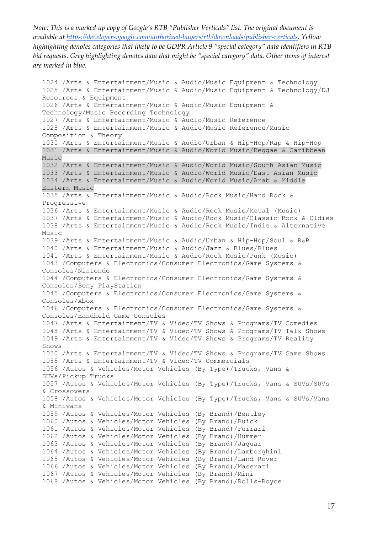1024 /Arts & Entertainment/Music & Audio/Music Equipment & Technology 1025 /Arts & Entertainment/Music & Audio/Music Equipment & Technology/DJ Resources & Equipment 1026 /Arts & Entertainment/Music & Audio/Music Equipment & Technology/Music Recording Technology 1027 /Arts & Entertainment/Music & Audio/Music Reference 1028 /Arts & Entertainment/Music & Audio/Music Reference/Music Composition & Theory 1030 /Arts & Entertainment/Music & Audio/Urban & Hip-Hop/Rap & Hip-Hop 1031 /Arts & Entertainment/Music & Audio/World Music/Reggae & Caribbean Music 1032 /Arts & Entertainment/Music & Audio/World Music/South Asian Music 1033 /Arts & Entertainment/Music & Audio/World Music/East Asian Music 1034 /Arts & Entertainment/Music & Audio/World Music/Arab & Middle Eastern Music 1035 /Arts & Entertainment/Music & Audio/Rock Music/Hard Rock & Progressive 1036 /Arts & Entertainment/Music & Audio/Rock Music/Metal (Music) 1037 /Arts & Entertainment/Music & Audio/Rock Music/Classic Rock & Oldies 1038 /Arts & Entertainment/Music & Audio/Rock Music/Indie & Alternative Music 1039 /Arts & Entertainment/Music & Audio/Urban & Hip-Hop/Soul & R&B 1040 /Arts & Entertainment/Music & Audio/Jazz & Blues/Blues 1041 /Arts & Entertainment/Music & Audio/Rock Music/Punk (Music) 1043 /Computers & Electronics/Consumer Electronics/Game Systems & Consoles/Nintendo 1044 /Computers & Electronics/Consumer Electronics/Game Systems & Consoles/Sony PlayStation 1045 /Computers & Electronics/Consumer Electronics/Game Systems & Consoles/Xbox 1046 /Computers & Electronics/Consumer Electronics/Game Systems & Consoles/Handheld Game Consoles 1047 /Arts & Entertainment/TV & Video/TV Shows & Programs/TV Comedies 1048 /Arts & Entertainment/TV & Video/TV Shows & Programs/TV Talk Shows 1049 /Arts & Entertainment/TV & Video/TV Shows & Programs/TV Reality Shows 1050 /Arts & Entertainment/TV & Video/TV Shows & Programs/TV Game Shows 1055 /Arts & Entertainment/TV & Video/TV Commercials 1056 /Autos & Vehicles/Motor Vehicles (By Type)/Trucks, Vans & SUVs/Pickup Trucks 1057 /Autos & Vehicles/Motor Vehicles (By Type)/Trucks, Vans & SUVs/SUVs & Crossovers 1058 /Autos & Vehicles/Motor Vehicles (By Type)/Trucks, Vans & SUVs/Vans & Minivans 1059 /Autos & Vehicles/Motor Vehicles (By Brand)/Bentley 1060 /Autos & Vehicles/Motor Vehicles (By Brand)/Buick 1061 /Autos & Vehicles/Motor Vehicles (By Brand)/Ferrari 1062 /Autos & Vehicles/Motor Vehicles (By Brand)/Hummer 1063 /Autos & Vehicles/Motor Vehicles (By Brand)/Jaguar 1064 /Autos & Vehicles/Motor Vehicles (By Brand)/Lamborghini 1065 /Autos & Vehicles/Motor Vehicles (By Brand)/Land Rover 1066 /Autos & Vehicles/Motor Vehicles (By Brand)/Maserati 1067 /Autos & Vehicles/Motor Vehicles (By Brand)/Mini 1068 /Autos & Vehicles/Motor Vehicles (By Brand)/Rolls-Royce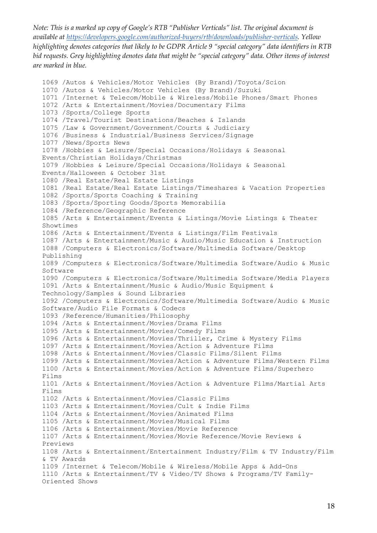```
1069 /Autos & Vehicles/Motor Vehicles (By Brand)/Toyota/Scion
1070 /Autos & Vehicles/Motor Vehicles (By Brand)/Suzuki
1071 /Internet & Telecom/Mobile & Wireless/Mobile Phones/Smart Phones
1072 /Arts & Entertainment/Movies/Documentary Films
1073 /Sports/College Sports
1074 /Travel/Tourist Destinations/Beaches & Islands
1075 /Law & Government/Government/Courts & Judiciary
1076 /Business & Industrial/Business Services/Signage
1077 /News/Sports News
1078 /Hobbies & Leisure/Special Occasions/Holidays & Seasonal 
Events/Christian Holidays/Christmas
1079 /Hobbies & Leisure/Special Occasions/Holidays & Seasonal 
Events/Halloween & October 31st
1080 /Real Estate/Real Estate Listings
1081 /Real Estate/Real Estate Listings/Timeshares & Vacation Properties
1082 /Sports/Sports Coaching & Training
1083 /Sports/Sporting Goods/Sports Memorabilia
1084 /Reference/Geographic Reference
1085 /Arts & Entertainment/Events & Listings/Movie Listings & Theater 
Showtimes
1086 /Arts & Entertainment/Events & Listings/Film Festivals
1087 /Arts & Entertainment/Music & Audio/Music Education & Instruction
1088 /Computers & Electronics/Software/Multimedia Software/Desktop 
Publishing
1089 /Computers & Electronics/Software/Multimedia Software/Audio & Music 
Software
1090 /Computers & Electronics/Software/Multimedia Software/Media Players
1091 /Arts & Entertainment/Music & Audio/Music Equipment & 
Technology/Samples & Sound Libraries
1092 /Computers & Electronics/Software/Multimedia Software/Audio & Music 
Software/Audio File Formats & Codecs
1093 /Reference/Humanities/Philosophy
1094 /Arts & Entertainment/Movies/Drama Films
1095 /Arts & Entertainment/Movies/Comedy Films
1096 /Arts & Entertainment/Movies/Thriller, Crime & Mystery Films
1097 /Arts & Entertainment/Movies/Action & Adventure Films
1098 /Arts & Entertainment/Movies/Classic Films/Silent Films
1099 /Arts & Entertainment/Movies/Action & Adventure Films/Western Films
1100 /Arts & Entertainment/Movies/Action & Adventure Films/Superhero 
Films
1101 /Arts & Entertainment/Movies/Action & Adventure Films/Martial Arts 
Films
1102 /Arts & Entertainment/Movies/Classic Films
1103 /Arts & Entertainment/Movies/Cult & Indie Films
1104 /Arts & Entertainment/Movies/Animated Films
1105 /Arts & Entertainment/Movies/Musical Films
1106 /Arts & Entertainment/Movies/Movie Reference
1107 /Arts & Entertainment/Movies/Movie Reference/Movie Reviews & 
Previews
1108 /Arts & Entertainment/Entertainment Industry/Film & TV Industry/Film 
& TV Awards
1109 /Internet & Telecom/Mobile & Wireless/Mobile Apps & Add-Ons
1110 /Arts & Entertainment/TV & Video/TV Shows & Programs/TV Family-
Oriented Shows
```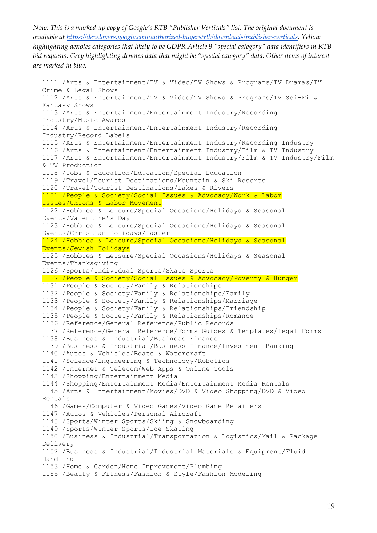```
1111 /Arts & Entertainment/TV & Video/TV Shows & Programs/TV Dramas/TV 
Crime & Legal Shows
1112 /Arts & Entertainment/TV & Video/TV Shows & Programs/TV Sci-Fi & 
Fantasy Shows
1113 /Arts & Entertainment/Entertainment Industry/Recording 
Industry/Music Awards
1114 /Arts & Entertainment/Entertainment Industry/Recording 
Industry/Record Labels
1115 /Arts & Entertainment/Entertainment Industry/Recording Industry
1116 /Arts & Entertainment/Entertainment Industry/Film & TV Industry
1117 /Arts & Entertainment/Entertainment Industry/Film & TV Industry/Film 
& TV Production
1118 /Jobs & Education/Education/Special Education
1119 /Travel/Tourist Destinations/Mountain & Ski Resorts
1120 /Travel/Tourist Destinations/Lakes & Rivers
1121 /People & Society/Social Issues & Advocacy/Work & Labor 
Issues/Unions & Labor Movement
1122 /Hobbies & Leisure/Special Occasions/Holidays & Seasonal 
Events/Valentine's Day
1123 /Hobbies & Leisure/Special Occasions/Holidays & Seasonal 
Events/Christian Holidays/Easter
1124 /Hobbies & Leisure/Special Occasions/Holidays & Seasonal 
Events/Jewish Holidays
1125 /Hobbies & Leisure/Special Occasions/Holidays & Seasonal 
Events/Thanksgiving
1126 /Sports/Individual Sports/Skate Sports
1127 /People & Society/Social Issues & Advocacy/Poverty & Hunger
1131 /People & Society/Family & Relationships
1132 /People & Society/Family & Relationships/Family
1133 /People & Society/Family & Relationships/Marriage
1134 /People & Society/Family & Relationships/Friendship
1135 /People & Society/Family & Relationships/Romance
1136 /Reference/General Reference/Public Records
1137 /Reference/General Reference/Forms Guides & Templates/Legal Forms
1138 /Business & Industrial/Business Finance
1139 /Business & Industrial/Business Finance/Investment Banking
1140 /Autos & Vehicles/Boats & Watercraft
1141 /Science/Engineering & Technology/Robotics
1142 /Internet & Telecom/Web Apps & Online Tools
1143 /Shopping/Entertainment Media
1144 /Shopping/Entertainment Media/Entertainment Media Rentals
1145 /Arts & Entertainment/Movies/DVD & Video Shopping/DVD & Video 
Rentals
1146 /Games/Computer & Video Games/Video Game Retailers
1147 /Autos & Vehicles/Personal Aircraft
1148 /Sports/Winter Sports/Skiing & Snowboarding
1149 /Sports/Winter Sports/Ice Skating
1150 /Business & Industrial/Transportation & Logistics/Mail & Package 
Delivery
1152 /Business & Industrial/Industrial Materials & Equipment/Fluid 
Handling
1153 /Home & Garden/Home Improvement/Plumbing
1155 /Beauty & Fitness/Fashion & Style/Fashion Modeling
```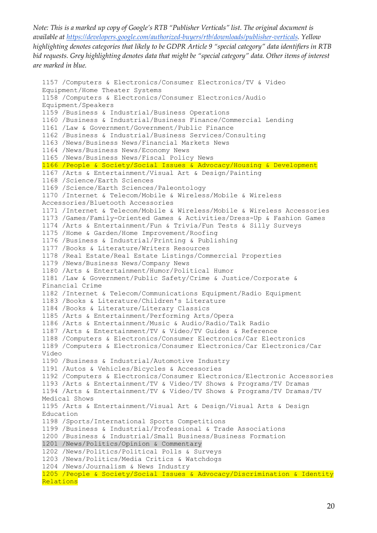```
1157 /Computers & Electronics/Consumer Electronics/TV & Video 
Equipment/Home Theater Systems
1158 /Computers & Electronics/Consumer Electronics/Audio 
Equipment/Speakers
1159 /Business & Industrial/Business Operations
1160 /Business & Industrial/Business Finance/Commercial Lending
1161 /Law & Government/Government/Public Finance
1162 /Business & Industrial/Business Services/Consulting
1163 /News/Business News/Financial Markets News
1164 /News/Business News/Economy News
1165 /News/Business News/Fiscal Policy News
1166 /People & Society/Social Issues & Advocacy/Housing & Development
1167 /Arts & Entertainment/Visual Art & Design/Painting
1168 /Science/Earth Sciences
1169 /Science/Earth Sciences/Paleontology
1170 /Internet & Telecom/Mobile & Wireless/Mobile & Wireless 
Accessories/Bluetooth Accessories
1171 /Internet & Telecom/Mobile & Wireless/Mobile & Wireless Accessories
1173 /Games/Family-Oriented Games & Activities/Dress-Up & Fashion Games
1174 /Arts & Entertainment/Fun & Trivia/Fun Tests & Silly Surveys
1175 /Home & Garden/Home Improvement/Roofing
1176 /Business & Industrial/Printing & Publishing
1177 /Books & Literature/Writers Resources
1178 /Real Estate/Real Estate Listings/Commercial Properties
1179 /News/Business News/Company News
1180 /Arts & Entertainment/Humor/Political Humor
1181 /Law & Government/Public Safety/Crime & Justice/Corporate & 
Financial Crime
1182 /Internet & Telecom/Communications Equipment/Radio Equipment
1183 /Books & Literature/Children's Literature
1184 /Books & Literature/Literary Classics
1185 /Arts & Entertainment/Performing Arts/Opera
1186 /Arts & Entertainment/Music & Audio/Radio/Talk Radio
1187 /Arts & Entertainment/TV & Video/TV Guides & Reference
1188 /Computers & Electronics/Consumer Electronics/Car Electronics
1189 /Computers & Electronics/Consumer Electronics/Car Electronics/Car 
Video
1190 /Business & Industrial/Automotive Industry
1191 /Autos & Vehicles/Bicycles & Accessories
1192 /Computers & Electronics/Consumer Electronics/Electronic Accessories
1193 /Arts & Entertainment/TV & Video/TV Shows & Programs/TV Dramas
1194 /Arts & Entertainment/TV & Video/TV Shows & Programs/TV Dramas/TV 
Medical Shows
1195 /Arts & Entertainment/Visual Art & Design/Visual Arts & Design 
Education
1198 /Sports/International Sports Competitions
1199 /Business & Industrial/Professional & Trade Associations
1200 /Business & Industrial/Small Business/Business Formation
1201 /News/Politics/Opinion & Commentary
1202 /News/Politics/Political Polls & Surveys
1203 /News/Politics/Media Critics & Watchdogs
1204 /News/Journalism & News Industry
1205 /People & Society/Social Issues & Advocacy/Discrimination & Identity 
Relations
```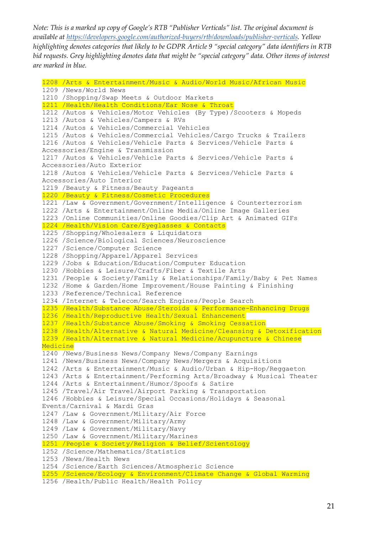1208 /Arts & Entertainment/Music & Audio/World Music/African Music 1209 /News/World News 1210 /Shopping/Swap Meets & Outdoor Markets 1211 /Health/Health Conditions/Ear Nose & Throat 1212 /Autos & Vehicles/Motor Vehicles (By Type)/Scooters & Mopeds 1213 /Autos & Vehicles/Campers & RVs 1214 /Autos & Vehicles/Commercial Vehicles 1215 /Autos & Vehicles/Commercial Vehicles/Cargo Trucks & Trailers 1216 /Autos & Vehicles/Vehicle Parts & Services/Vehicle Parts & Accessories/Engine & Transmission 1217 /Autos & Vehicles/Vehicle Parts & Services/Vehicle Parts & Accessories/Auto Exterior 1218 /Autos & Vehicles/Vehicle Parts & Services/Vehicle Parts & Accessories/Auto Interior 1219 /Beauty & Fitness/Beauty Pageants 1220 /Beauty & Fitness/Cosmetic Procedures 1221 /Law & Government/Government/Intelligence & Counterterrorism 1222 /Arts & Entertainment/Online Media/Online Image Galleries 1223 /Online Communities/Online Goodies/Clip Art & Animated GIFs 1224 /Health/Vision Care/Eyeglasses & Contacts 1225 /Shopping/Wholesalers & Liquidators 1226 /Science/Biological Sciences/Neuroscience 1227 /Science/Computer Science 1228 /Shopping/Apparel/Apparel Services 1229 /Jobs & Education/Education/Computer Education 1230 /Hobbies & Leisure/Crafts/Fiber & Textile Arts 1231 /People & Society/Family & Relationships/Family/Baby & Pet Names 1232 /Home & Garden/Home Improvement/House Painting & Finishing 1233 /Reference/Technical Reference 1234 /Internet & Telecom/Search Engines/People Search 1235 /Health/Substance Abuse/Steroids & Performance-Enhancing Drugs 1236 /Health/Reproductive Health/Sexual Enhancement 1237 /Health/Substance Abuse/Smoking & Smoking Cessation 1238 /Health/Alternative & Natural Medicine/Cleansing & Detoxification 1239 /Health/Alternative & Natural Medicine/Acupuncture & Chinese **Medicine** 1240 /News/Business News/Company News/Company Earnings 1241 /News/Business News/Company News/Mergers & Acquisitions 1242 /Arts & Entertainment/Music & Audio/Urban & Hip-Hop/Reggaeton 1243 /Arts & Entertainment/Performing Arts/Broadway & Musical Theater 1244 /Arts & Entertainment/Humor/Spoofs & Satire 1245 /Travel/Air Travel/Airport Parking & Transportation 1246 /Hobbies & Leisure/Special Occasions/Holidays & Seasonal Events/Carnival & Mardi Gras 1247 /Law & Government/Military/Air Force 1248 /Law & Government/Military/Army 1249 /Law & Government/Military/Navy 1250 /Law & Government/Military/Marines 1251 /People & Society/Religion & Belief/Scientology 1252 /Science/Mathematics/Statistics 1253 /News/Health News 1254 /Science/Earth Sciences/Atmospheric Science 1255 /Science/Ecology & Environment/Climate Change & Global Warming 1256 /Health/Public Health/Health Policy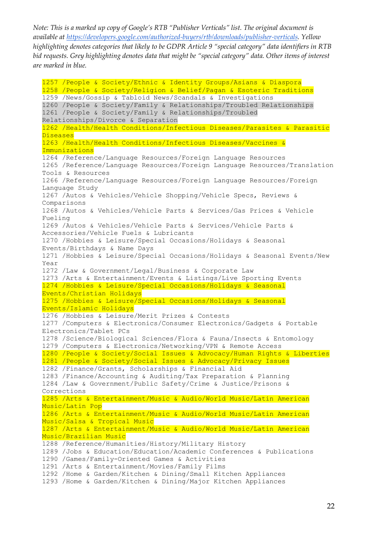1257 /People & Society/Ethnic & Identity Groups/Asians & Diaspora 1258 /People & Society/Religion & Belief/Pagan & Esoteric Traditions 1259 /News/Gossip & Tabloid News/Scandals & Investigations 1260 /People & Society/Family & Relationships/Troubled Relationships 1261 /People & Society/Family & Relationships/Troubled Relationships/Divorce & Separation 1262 /Health/Health Conditions/Infectious Diseases/Parasites & Parasitic **Diseases** 1263 /Health/Health Conditions/Infectious Diseases/Vaccines & Immunizations 1264 /Reference/Language Resources/Foreign Language Resources 1265 /Reference/Language Resources/Foreign Language Resources/Translation Tools & Resources 1266 /Reference/Language Resources/Foreign Language Resources/Foreign Language Study 1267 /Autos & Vehicles/Vehicle Shopping/Vehicle Specs, Reviews & Comparisons 1268 /Autos & Vehicles/Vehicle Parts & Services/Gas Prices & Vehicle Fueling 1269 /Autos & Vehicles/Vehicle Parts & Services/Vehicle Parts & Accessories/Vehicle Fuels & Lubricants 1270 /Hobbies & Leisure/Special Occasions/Holidays & Seasonal Events/Birthdays & Name Days 1271 /Hobbies & Leisure/Special Occasions/Holidays & Seasonal Events/New Year 1272 /Law & Government/Legal/Business & Corporate Law 1273 /Arts & Entertainment/Events & Listings/Live Sporting Events 1274 /Hobbies & Leisure/Special Occasions/Holidays & Seasonal Events/Christian Holidays 1275 /Hobbies & Leisure/Special Occasions/Holidays & Seasonal Events/Islamic Holidays 1276 /Hobbies & Leisure/Merit Prizes & Contests 1277 /Computers & Electronics/Consumer Electronics/Gadgets & Portable Electronics/Tablet PCs 1278 /Science/Biological Sciences/Flora & Fauna/Insects & Entomology 1279 /Computers & Electronics/Networking/VPN & Remote Access 1280 /People & Society/Social Issues & Advocacy/Human Rights & Liberties 1281 /People & Society/Social Issues & Advocacy/Privacy Issues 1282 /Finance/Grants, Scholarships & Financial Aid 1283 /Finance/Accounting & Auditing/Tax Preparation & Planning 1284 /Law & Government/Public Safety/Crime & Justice/Prisons & Corrections 1285 /Arts & Entertainment/Music & Audio/World Music/Latin American Music/Latin Pop 1286 /Arts & Entertainment/Music & Audio/World Music/Latin American Music/Salsa & Tropical Music 1287 /Arts & Entertainment/Music & Audio/World Music/Latin American Music/Brazilian Music 1288 /Reference/Humanities/History/Military History 1289 /Jobs & Education/Education/Academic Conferences & Publications 1290 /Games/Family-Oriented Games & Activities 1291 /Arts & Entertainment/Movies/Family Films 1292 /Home & Garden/Kitchen & Dining/Small Kitchen Appliances 1293 /Home & Garden/Kitchen & Dining/Major Kitchen Appliances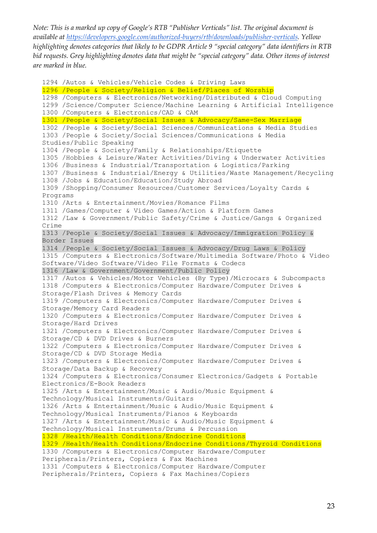```
1294 /Autos & Vehicles/Vehicle Codes & Driving Laws
1296 /People & Society/Religion & Belief/Places of Worship
1298 /Computers & Electronics/Networking/Distributed & Cloud Computing
1299 /Science/Computer Science/Machine Learning & Artificial Intelligence
1300 /Computers & Electronics/CAD & CAM
1301 /People & Society/Social Issues & Advocacy/Same-Sex Marriage
1302 /People & Society/Social Sciences/Communications & Media Studies
1303 /People & Society/Social Sciences/Communications & Media 
Studies/Public Speaking
1304 /People & Society/Family & Relationships/Etiquette
1305 /Hobbies & Leisure/Water Activities/Diving & Underwater Activities
1306 /Business & Industrial/Transportation & Logistics/Parking
1307 /Business & Industrial/Energy & Utilities/Waste Management/Recycling
1308 /Jobs & Education/Education/Study Abroad
1309 /Shopping/Consumer Resources/Customer Services/Loyalty Cards & 
Programs
1310 /Arts & Entertainment/Movies/Romance Films
1311 /Games/Computer & Video Games/Action & Platform Games
1312 /Law & Government/Public Safety/Crime & Justice/Gangs & Organized 
Crime
1313 /People & Society/Social Issues & Advocacy/Immigration Policy & 
Border Issues
1314 /People & Society/Social Issues & Advocacy/Drug Laws & Policy
1315 /Computers & Electronics/Software/Multimedia Software/Photo & Video 
Software/Video Software/Video File Formats & Codecs
1316 /Law & Government/Government/Public Policy
1317 /Autos & Vehicles/Motor Vehicles (By Type)/Microcars & Subcompacts
1318 /Computers & Electronics/Computer Hardware/Computer Drives & 
Storage/Flash Drives & Memory Cards
1319 /Computers & Electronics/Computer Hardware/Computer Drives & 
Storage/Memory Card Readers
1320 /Computers & Electronics/Computer Hardware/Computer Drives & 
Storage/Hard Drives
1321 /Computers & Electronics/Computer Hardware/Computer Drives & 
Storage/CD & DVD Drives & Burners
1322 /Computers & Electronics/Computer Hardware/Computer Drives & 
Storage/CD & DVD Storage Media
1323 /Computers & Electronics/Computer Hardware/Computer Drives & 
Storage/Data Backup & Recovery
1324 /Computers & Electronics/Consumer Electronics/Gadgets & Portable 
Electronics/E-Book Readers
1325 /Arts & Entertainment/Music & Audio/Music Equipment & 
Technology/Musical Instruments/Guitars
1326 /Arts & Entertainment/Music & Audio/Music Equipment &
Technology/Musical Instruments/Pianos & Keyboards
1327 /Arts & Entertainment/Music & Audio/Music Equipment & 
Technology/Musical Instruments/Drums & Percussion
1328 /Health/Health Conditions/Endocrine Conditions
1329 /Health/Health Conditions/Endocrine Conditions/Thyroid Conditions
1330 /Computers & Electronics/Computer Hardware/Computer 
Peripherals/Printers, Copiers & Fax Machines
1331 /Computers & Electronics/Computer Hardware/Computer 
Peripherals/Printers, Copiers & Fax Machines/Copiers
```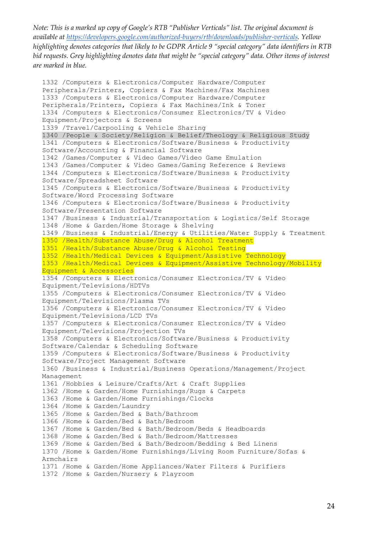1332 /Computers & Electronics/Computer Hardware/Computer Peripherals/Printers, Copiers & Fax Machines/Fax Machines 1333 /Computers & Electronics/Computer Hardware/Computer Peripherals/Printers, Copiers & Fax Machines/Ink & Toner 1334 /Computers & Electronics/Consumer Electronics/TV & Video Equipment/Projectors & Screens 1339 /Travel/Carpooling & Vehicle Sharing 1340 /People & Society/Religion & Belief/Theology & Religious Study 1341 /Computers & Electronics/Software/Business & Productivity Software/Accounting & Financial Software 1342 /Games/Computer & Video Games/Video Game Emulation 1343 /Games/Computer & Video Games/Gaming Reference & Reviews 1344 /Computers & Electronics/Software/Business & Productivity Software/Spreadsheet Software 1345 /Computers & Electronics/Software/Business & Productivity Software/Word Processing Software 1346 /Computers & Electronics/Software/Business & Productivity Software/Presentation Software 1347 /Business & Industrial/Transportation & Logistics/Self Storage 1348 /Home & Garden/Home Storage & Shelving 1349 /Business & Industrial/Energy & Utilities/Water Supply & Treatment 1350 /Health/Substance Abuse/Drug & Alcohol Treatment 1351 /Health/Substance Abuse/Drug & Alcohol Testing 1352 /Health/Medical Devices & Equipment/Assistive Technology 1353 /Health/Medical Devices & Equipment/Assistive Technology/Mobility Equipment & Accessories 1354 /Computers & Electronics/Consumer Electronics/TV & Video Equipment/Televisions/HDTVs 1355 /Computers & Electronics/Consumer Electronics/TV & Video Equipment/Televisions/Plasma TVs 1356 /Computers & Electronics/Consumer Electronics/TV & Video Equipment/Televisions/LCD TVs 1357 /Computers & Electronics/Consumer Electronics/TV & Video Equipment/Televisions/Projection TVs 1358 /Computers & Electronics/Software/Business & Productivity Software/Calendar & Scheduling Software 1359 /Computers & Electronics/Software/Business & Productivity Software/Project Management Software 1360 /Business & Industrial/Business Operations/Management/Project Management 1361 /Hobbies & Leisure/Crafts/Art & Craft Supplies 1362 /Home & Garden/Home Furnishings/Rugs & Carpets 1363 /Home & Garden/Home Furnishings/Clocks 1364 /Home & Garden/Laundry 1365 /Home & Garden/Bed & Bath/Bathroom 1366 /Home & Garden/Bed & Bath/Bedroom 1367 /Home & Garden/Bed & Bath/Bedroom/Beds & Headboards 1368 /Home & Garden/Bed & Bath/Bedroom/Mattresses 1369 /Home & Garden/Bed & Bath/Bedroom/Bedding & Bed Linens 1370 /Home & Garden/Home Furnishings/Living Room Furniture/Sofas & Armchairs 1371 /Home & Garden/Home Appliances/Water Filters & Purifiers 1372 /Home & Garden/Nursery & Playroom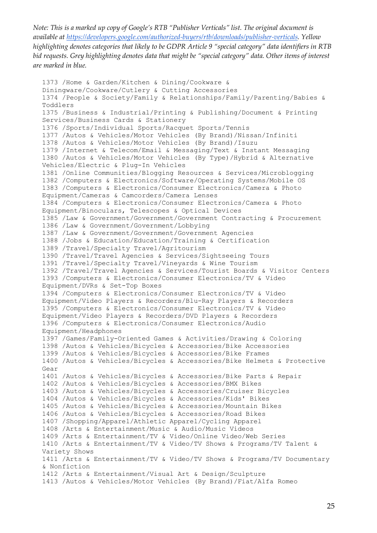```
1373 /Home & Garden/Kitchen & Dining/Cookware & 
Diningware/Cookware/Cutlery & Cutting Accessories
1374 /People & Society/Family & Relationships/Family/Parenting/Babies & 
Toddlers
1375 /Business & Industrial/Printing & Publishing/Document & Printing 
Services/Business Cards & Stationery
1376 /Sports/Individual Sports/Racquet Sports/Tennis
1377 /Autos & Vehicles/Motor Vehicles (By Brand)/Nissan/Infiniti
1378 /Autos & Vehicles/Motor Vehicles (By Brand)/Isuzu
1379 /Internet & Telecom/Email & Messaging/Text & Instant Messaging
1380 /Autos & Vehicles/Motor Vehicles (By Type)/Hybrid & Alternative 
Vehicles/Electric & Plug-In Vehicles
1381 /Online Communities/Blogging Resources & Services/Microblogging
1382 /Computers & Electronics/Software/Operating Systems/Mobile OS
1383 /Computers & Electronics/Consumer Electronics/Camera & Photo 
Equipment/Cameras & Camcorders/Camera Lenses
1384 /Computers & Electronics/Consumer Electronics/Camera & Photo 
Equipment/Binoculars, Telescopes & Optical Devices
1385 /Law & Government/Government/Government Contracting & Procurement
1386 /Law & Government/Government/Lobbying
1387 /Law & Government/Government/Government Agencies
1388 /Jobs & Education/Education/Training & Certification
1389 /Travel/Specialty Travel/Agritourism
1390 /Travel/Travel Agencies & Services/Sightseeing Tours
1391 /Travel/Specialty Travel/Vineyards & Wine Tourism
1392 /Travel/Travel Agencies & Services/Tourist Boards & Visitor Centers
1393 /Computers & Electronics/Consumer Electronics/TV & Video 
Equipment/DVRs & Set-Top Boxes
1394 /Computers & Electronics/Consumer Electronics/TV & Video 
Equipment/Video Players & Recorders/Blu-Ray Players & Recorders
1395 /Computers & Electronics/Consumer Electronics/TV & Video 
Equipment/Video Players & Recorders/DVD Players & Recorders
1396 /Computers & Electronics/Consumer Electronics/Audio 
Equipment/Headphones
1397 /Games/Family-Oriented Games & Activities/Drawing & Coloring
1398 /Autos & Vehicles/Bicycles & Accessories/Bike Accessories
1399 /Autos & Vehicles/Bicycles & Accessories/Bike Frames
1400 /Autos & Vehicles/Bicycles & Accessories/Bike Helmets & Protective 
Gear
1401 /Autos & Vehicles/Bicycles & Accessories/Bike Parts & Repair
1402 /Autos & Vehicles/Bicycles & Accessories/BMX Bikes
1403 /Autos & Vehicles/Bicycles & Accessories/Cruiser Bicycles
1404 /Autos & Vehicles/Bicycles & Accessories/Kids' Bikes
1405 /Autos & Vehicles/Bicycles & Accessories/Mountain Bikes
1406 /Autos & Vehicles/Bicycles & Accessories/Road Bikes
1407 /Shopping/Apparel/Athletic Apparel/Cycling Apparel
1408 /Arts & Entertainment/Music & Audio/Music Videos
1409 /Arts & Entertainment/TV & Video/Online Video/Web Series
1410 /Arts & Entertainment/TV & Video/TV Shows & Programs/TV Talent & 
Variety Shows
1411 /Arts & Entertainment/TV & Video/TV Shows & Programs/TV Documentary 
& Nonfiction
1412 /Arts & Entertainment/Visual Art & Design/Sculpture
1413 /Autos & Vehicles/Motor Vehicles (By Brand)/Fiat/Alfa Romeo
```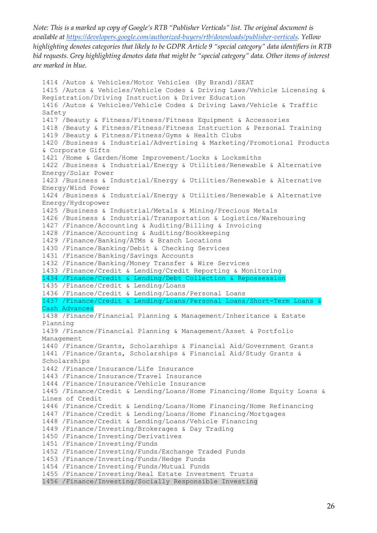```
1414 /Autos & Vehicles/Motor Vehicles (By Brand)/SEAT
1415 /Autos & Vehicles/Vehicle Codes & Driving Laws/Vehicle Licensing & 
Registration/Driving Instruction & Driver Education
1416 /Autos & Vehicles/Vehicle Codes & Driving Laws/Vehicle & Traffic 
Safety
1417 /Beauty & Fitness/Fitness/Fitness Equipment & Accessories
1418 /Beauty & Fitness/Fitness/Fitness Instruction & Personal Training
1419 /Beauty & Fitness/Fitness/Gyms & Health Clubs
1420 /Business & Industrial/Advertising & Marketing/Promotional Products 
& Corporate Gifts
1421 /Home & Garden/Home Improvement/Locks & Locksmiths
1422 /Business & Industrial/Energy & Utilities/Renewable & Alternative 
Energy/Solar Power
1423 /Business & Industrial/Energy & Utilities/Renewable & Alternative 
Energy/Wind Power
1424 /Business & Industrial/Energy & Utilities/Renewable & Alternative 
Energy/Hydropower
1425 /Business & Industrial/Metals & Mining/Precious Metals
1426 /Business & Industrial/Transportation & Logistics/Warehousing
1427 /Finance/Accounting & Auditing/Billing & Invoicing
1428 /Finance/Accounting & Auditing/Bookkeeping
1429 /Finance/Banking/ATMs & Branch Locations
1430 /Finance/Banking/Debit & Checking Services
1431 /Finance/Banking/Savings Accounts
1432 /Finance/Banking/Money Transfer & Wire Services
1433 /Finance/Credit & Lending/Credit Reporting & Monitoring
1434 /Finance/Credit & Lending/Debt Collection & Repossession
1435 /Finance/Credit & Lending/Loans
1436 /Finance/Credit & Lending/Loans/Personal Loans
1437 /Finance/Credit & Lending/Loans/Personal Loans/Short-Term Loans & 
Cash Advances
1438 /Finance/Financial Planning & Management/Inheritance & Estate 
Planning
1439 /Finance/Financial Planning & Management/Asset & Portfolio 
Management
1440 /Finance/Grants, Scholarships & Financial Aid/Government Grants
1441 /Finance/Grants, Scholarships & Financial Aid/Study Grants & 
Scholarships
1442 /Finance/Insurance/Life Insurance
1443 /Finance/Insurance/Travel Insurance
1444 /Finance/Insurance/Vehicle Insurance
1445 /Finance/Credit & Lending/Loans/Home Financing/Home Equity Loans & 
Lines of Credit
1446 /Finance/Credit & Lending/Loans/Home Financing/Home Refinancing
1447 /Finance/Credit & Lending/Loans/Home Financing/Mortgages
1448 /Finance/Credit & Lending/Loans/Vehicle Financing
1449 /Finance/Investing/Brokerages & Day Trading
1450 /Finance/Investing/Derivatives
1451 /Finance/Investing/Funds
1452 /Finance/Investing/Funds/Exchange Traded Funds
1453 /Finance/Investing/Funds/Hedge Funds
1454 /Finance/Investing/Funds/Mutual Funds
1455 /Finance/Investing/Real Estate Investment Trusts
1456 /Finance/Investing/Socially Responsible Investing
```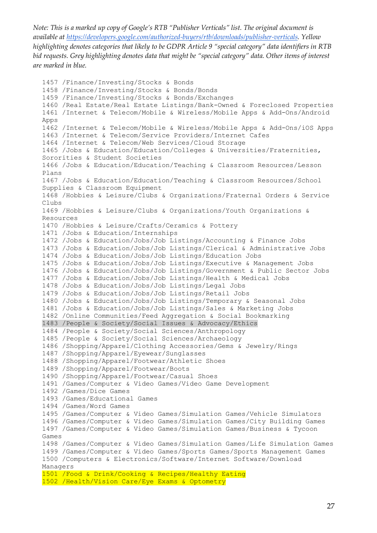```
1457 /Finance/Investing/Stocks & Bonds
1458 /Finance/Investing/Stocks & Bonds/Bonds
1459 /Finance/Investing/Stocks & Bonds/Exchanges
1460 /Real Estate/Real Estate Listings/Bank-Owned & Foreclosed Properties
1461 /Internet & Telecom/Mobile & Wireless/Mobile Apps & Add-Ons/Android 
Apps
1462 /Internet & Telecom/Mobile & Wireless/Mobile Apps & Add-Ons/iOS Apps
1463 /Internet & Telecom/Service Providers/Internet Cafes
1464 /Internet & Telecom/Web Services/Cloud Storage
1465 /Jobs & Education/Education/Colleges & Universities/Fraternities, 
Sororities & Student Societies
1466 /Jobs & Education/Education/Teaching & Classroom Resources/Lesson 
Plans
1467 /Jobs & Education/Education/Teaching & Classroom Resources/School 
Supplies & Classroom Equipment
1468 /Hobbies & Leisure/Clubs & Organizations/Fraternal Orders & Service 
Clubs
1469 /Hobbies & Leisure/Clubs & Organizations/Youth Organizations & 
Resources
1470 /Hobbies & Leisure/Crafts/Ceramics & Pottery
1471 /Jobs & Education/Internships
1472 /Jobs & Education/Jobs/Job Listings/Accounting & Finance Jobs
1473 /Jobs & Education/Jobs/Job Listings/Clerical & Administrative Jobs
1474 /Jobs & Education/Jobs/Job Listings/Education Jobs
1475 /Jobs & Education/Jobs/Job Listings/Executive & Management Jobs
1476 /Jobs & Education/Jobs/Job Listings/Government & Public Sector Jobs
1477 /Jobs & Education/Jobs/Job Listings/Health & Medical Jobs
1478 /Jobs & Education/Jobs/Job Listings/Legal Jobs
1479 /Jobs & Education/Jobs/Job Listings/Retail Jobs
1480 /Jobs & Education/Jobs/Job Listings/Temporary & Seasonal Jobs
1481 /Jobs & Education/Jobs/Job Listings/Sales & Marketing Jobs
1482 /Online Communities/Feed Aggregation & Social Bookmarking
1483 /People & Society/Social Issues & Advocacy/Ethics
1484 /People & Society/Social Sciences/Anthropology
1485 /People & Society/Social Sciences/Archaeology
1486 /Shopping/Apparel/Clothing Accessories/Gems & Jewelry/Rings
1487 /Shopping/Apparel/Eyewear/Sunglasses
1488 /Shopping/Apparel/Footwear/Athletic Shoes
1489 /Shopping/Apparel/Footwear/Boots
1490 /Shopping/Apparel/Footwear/Casual Shoes
1491 /Games/Computer & Video Games/Video Game Development
1492 /Games/Dice Games
1493 /Games/Educational Games
1494 /Games/Word Games
1495 /Games/Computer & Video Games/Simulation Games/Vehicle Simulators
1496 /Games/Computer & Video Games/Simulation Games/City Building Games
1497 /Games/Computer & Video Games/Simulation Games/Business & Tycoon 
Games
1498 /Games/Computer & Video Games/Simulation Games/Life Simulation Games
1499 /Games/Computer & Video Games/Sports Games/Sports Management Games
1500 /Computers & Electronics/Software/Internet Software/Download 
Managers
1501 /Food & Drink/Cooking & Recipes/Healthy Eating
1502 /Health/Vision Care/Eye Exams & Optometry
```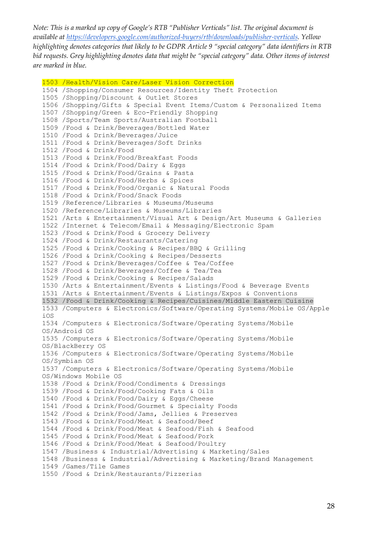```
1503 /Health/Vision Care/Laser Vision Correction
1504 /Shopping/Consumer Resources/Identity Theft Protection
1505 /Shopping/Discount & Outlet Stores
1506 /Shopping/Gifts & Special Event Items/Custom & Personalized Items
1507 /Shopping/Green & Eco-Friendly Shopping
1508 /Sports/Team Sports/Australian Football
1509 /Food & Drink/Beverages/Bottled Water
1510 /Food & Drink/Beverages/Juice
1511 /Food & Drink/Beverages/Soft Drinks
1512 /Food & Drink/Food
1513 /Food & Drink/Food/Breakfast Foods
1514 /Food & Drink/Food/Dairy & Eggs
1515 /Food & Drink/Food/Grains & Pasta
1516 /Food & Drink/Food/Herbs & Spices
1517 /Food & Drink/Food/Organic & Natural Foods
1518 /Food & Drink/Food/Snack Foods
1519 /Reference/Libraries & Museums/Museums
1520 /Reference/Libraries & Museums/Libraries
1521 /Arts & Entertainment/Visual Art & Design/Art Museums & Galleries
1522 /Internet & Telecom/Email & Messaging/Electronic Spam
1523 /Food & Drink/Food & Grocery Delivery
1524 /Food & Drink/Restaurants/Catering
1525 /Food & Drink/Cooking & Recipes/BBQ & Grilling
1526 /Food & Drink/Cooking & Recipes/Desserts
1527 /Food & Drink/Beverages/Coffee & Tea/Coffee
1528 /Food & Drink/Beverages/Coffee & Tea/Tea
1529 /Food & Drink/Cooking & Recipes/Salads
1530 /Arts & Entertainment/Events & Listings/Food & Beverage Events
1531 /Arts & Entertainment/Events & Listings/Expos & Conventions
1532 /Food & Drink/Cooking & Recipes/Cuisines/Middle Eastern Cuisine
1533 /Computers & Electronics/Software/Operating Systems/Mobile OS/Apple 
iOS
1534 /Computers & Electronics/Software/Operating Systems/Mobile 
OS/Android OS
1535 /Computers & Electronics/Software/Operating Systems/Mobile 
OS/BlackBerry OS
1536 /Computers & Electronics/Software/Operating Systems/Mobile 
OS/Symbian OS
1537 /Computers & Electronics/Software/Operating Systems/Mobile 
OS/Windows Mobile OS
1538 /Food & Drink/Food/Condiments & Dressings
1539 /Food & Drink/Food/Cooking Fats & Oils
1540 /Food & Drink/Food/Dairy & Eggs/Cheese
1541 /Food & Drink/Food/Gourmet & Specialty Foods
1542 /Food & Drink/Food/Jams, Jellies & Preserves
1543 /Food & Drink/Food/Meat & Seafood/Beef
1544 /Food & Drink/Food/Meat & Seafood/Fish & Seafood
1545 /Food & Drink/Food/Meat & Seafood/Pork
1546 /Food & Drink/Food/Meat & Seafood/Poultry
1547 /Business & Industrial/Advertising & Marketing/Sales
1548 /Business & Industrial/Advertising & Marketing/Brand Management
1549 /Games/Tile Games
1550 /Food & Drink/Restaurants/Pizzerias
```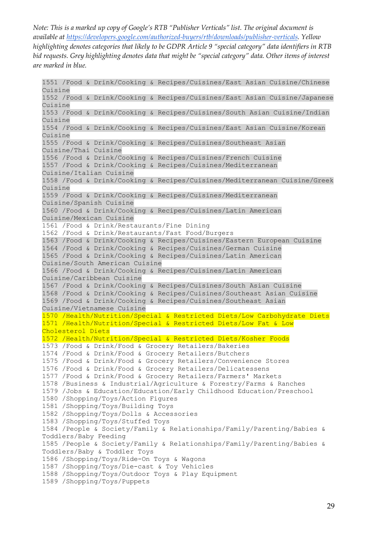1551 /Food & Drink/Cooking & Recipes/Cuisines/East Asian Cuisine/Chinese Cuisine 1552 /Food & Drink/Cooking & Recipes/Cuisines/East Asian Cuisine/Japanese Cuisine 1553 /Food & Drink/Cooking & Recipes/Cuisines/South Asian Cuisine/Indian Cuisine 1554 /Food & Drink/Cooking & Recipes/Cuisines/East Asian Cuisine/Korean Cuisine 1555 /Food & Drink/Cooking & Recipes/Cuisines/Southeast Asian Cuisine/Thai Cuisine 1556 /Food & Drink/Cooking & Recipes/Cuisines/French Cuisine 1557 /Food & Drink/Cooking & Recipes/Cuisines/Mediterranean Cuisine/Italian Cuisine 1558 /Food & Drink/Cooking & Recipes/Cuisines/Mediterranean Cuisine/Greek Cuisine 1559 /Food & Drink/Cooking & Recipes/Cuisines/Mediterranean Cuisine/Spanish Cuisine 1560 /Food & Drink/Cooking & Recipes/Cuisines/Latin American Cuisine/Mexican Cuisine 1561 /Food & Drink/Restaurants/Fine Dining 1562 /Food & Drink/Restaurants/Fast Food/Burgers 1563 /Food & Drink/Cooking & Recipes/Cuisines/Eastern European Cuisine 1564 /Food & Drink/Cooking & Recipes/Cuisines/German Cuisine 1565 /Food & Drink/Cooking & Recipes/Cuisines/Latin American Cuisine/South American Cuisine 1566 /Food & Drink/Cooking & Recipes/Cuisines/Latin American Cuisine/Caribbean Cuisine 1567 /Food & Drink/Cooking & Recipes/Cuisines/South Asian Cuisine 1568 /Food & Drink/Cooking & Recipes/Cuisines/Southeast Asian Cuisine 1569 /Food & Drink/Cooking & Recipes/Cuisines/Southeast Asian Cuisine/Vietnamese Cuisine 1570 /Health/Nutrition/Special & Restricted Diets/Low Carbohydrate Diets 1571 /Health/Nutrition/Special & Restricted Diets/Low Fat & Low Cholesterol Diets 1572 /Health/Nutrition/Special & Restricted Diets/Kosher Foods 1573 /Food & Drink/Food & Grocery Retailers/Bakeries 1574 /Food & Drink/Food & Grocery Retailers/Butchers 1575 /Food & Drink/Food & Grocery Retailers/Convenience Stores 1576 /Food & Drink/Food & Grocery Retailers/Delicatessens 1577 /Food & Drink/Food & Grocery Retailers/Farmers' Markets 1578 /Business & Industrial/Agriculture & Forestry/Farms & Ranches 1579 /Jobs & Education/Education/Early Childhood Education/Preschool 1580 /Shopping/Toys/Action Figures 1581 /Shopping/Toys/Building Toys 1582 /Shopping/Toys/Dolls & Accessories 1583 /Shopping/Toys/Stuffed Toys 1584 /People & Society/Family & Relationships/Family/Parenting/Babies & Toddlers/Baby Feeding 1585 /People & Society/Family & Relationships/Family/Parenting/Babies & Toddlers/Baby & Toddler Toys 1586 /Shopping/Toys/Ride-On Toys & Wagons 1587 /Shopping/Toys/Die-cast & Toy Vehicles 1588 /Shopping/Toys/Outdoor Toys & Play Equipment 1589 /Shopping/Toys/Puppets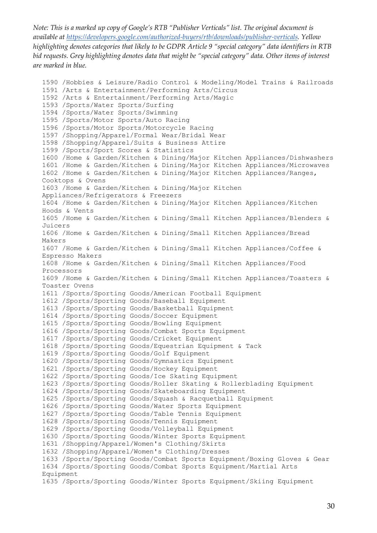```
1590 /Hobbies & Leisure/Radio Control & Modeling/Model Trains & Railroads
1591 /Arts & Entertainment/Performing Arts/Circus
1592 /Arts & Entertainment/Performing Arts/Magic
1593 /Sports/Water Sports/Surfing
1594 /Sports/Water Sports/Swimming
1595 /Sports/Motor Sports/Auto Racing
1596 /Sports/Motor Sports/Motorcycle Racing
1597 /Shopping/Apparel/Formal Wear/Bridal Wear
1598 /Shopping/Apparel/Suits & Business Attire
1599 /Sports/Sport Scores & Statistics
1600 /Home & Garden/Kitchen & Dining/Major Kitchen Appliances/Dishwashers
1601 /Home & Garden/Kitchen & Dining/Major Kitchen Appliances/Microwaves
1602 /Home & Garden/Kitchen & Dining/Major Kitchen Appliances/Ranges, 
Cooktops & Ovens
1603 /Home & Garden/Kitchen & Dining/Major Kitchen 
Appliances/Refrigerators & Freezers
1604 /Home & Garden/Kitchen & Dining/Major Kitchen Appliances/Kitchen 
Hoods & Vents
1605 /Home & Garden/Kitchen & Dining/Small Kitchen Appliances/Blenders & 
Juicers
1606 /Home & Garden/Kitchen & Dining/Small Kitchen Appliances/Bread 
Makers
1607 /Home & Garden/Kitchen & Dining/Small Kitchen Appliances/Coffee & 
Espresso Makers
1608 /Home & Garden/Kitchen & Dining/Small Kitchen Appliances/Food 
Processors
1609 /Home & Garden/Kitchen & Dining/Small Kitchen Appliances/Toasters & 
Toaster Ovens
1611 /Sports/Sporting Goods/American Football Equipment
1612 /Sports/Sporting Goods/Baseball Equipment
1613 /Sports/Sporting Goods/Basketball Equipment
1614 /Sports/Sporting Goods/Soccer Equipment
1615 /Sports/Sporting Goods/Bowling Equipment
1616 /Sports/Sporting Goods/Combat Sports Equipment
1617 /Sports/Sporting Goods/Cricket Equipment
1618 /Sports/Sporting Goods/Equestrian Equipment & Tack
1619 /Sports/Sporting Goods/Golf Equipment
1620 /Sports/Sporting Goods/Gymnastics Equipment
1621 /Sports/Sporting Goods/Hockey Equipment
1622 /Sports/Sporting Goods/Ice Skating Equipment
1623 /Sports/Sporting Goods/Roller Skating & Rollerblading Equipment
1624 /Sports/Sporting Goods/Skateboarding Equipment
1625 /Sports/Sporting Goods/Squash & Racquetball Equipment
1626 /Sports/Sporting Goods/Water Sports Equipment
1627 /Sports/Sporting Goods/Table Tennis Equipment
1628 /Sports/Sporting Goods/Tennis Equipment
1629 /Sports/Sporting Goods/Volleyball Equipment
1630 /Sports/Sporting Goods/Winter Sports Equipment
1631 /Shopping/Apparel/Women's Clothing/Skirts
1632 /Shopping/Apparel/Women's Clothing/Dresses
1633 /Sports/Sporting Goods/Combat Sports Equipment/Boxing Gloves & Gear
1634 /Sports/Sporting Goods/Combat Sports Equipment/Martial Arts 
Equipment
1635 /Sports/Sporting Goods/Winter Sports Equipment/Skiing Equipment
```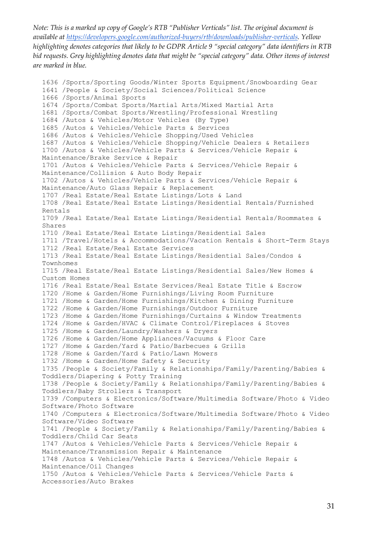```
1636 /Sports/Sporting Goods/Winter Sports Equipment/Snowboarding Gear
1641 /People & Society/Social Sciences/Political Science
1666 /Sports/Animal Sports
1674 /Sports/Combat Sports/Martial Arts/Mixed Martial Arts
1681 /Sports/Combat Sports/Wrestling/Professional Wrestling
1684 /Autos & Vehicles/Motor Vehicles (By Type)
1685 /Autos & Vehicles/Vehicle Parts & Services
1686 /Autos & Vehicles/Vehicle Shopping/Used Vehicles
1687 /Autos & Vehicles/Vehicle Shopping/Vehicle Dealers & Retailers
1700 /Autos & Vehicles/Vehicle Parts & Services/Vehicle Repair & 
Maintenance/Brake Service & Repair
1701 /Autos & Vehicles/Vehicle Parts & Services/Vehicle Repair & 
Maintenance/Collision & Auto Body Repair
1702 /Autos & Vehicles/Vehicle Parts & Services/Vehicle Repair & 
Maintenance/Auto Glass Repair & Replacement
1707 /Real Estate/Real Estate Listings/Lots & Land
1708 /Real Estate/Real Estate Listings/Residential Rentals/Furnished 
Rentals
1709 /Real Estate/Real Estate Listings/Residential Rentals/Roommates & 
Shares
1710 /Real Estate/Real Estate Listings/Residential Sales
1711 /Travel/Hotels & Accommodations/Vacation Rentals & Short-Term Stays
1712 /Real Estate/Real Estate Services
1713 /Real Estate/Real Estate Listings/Residential Sales/Condos & 
Townhomes
1715 /Real Estate/Real Estate Listings/Residential Sales/New Homes & 
Custom Homes
1716 /Real Estate/Real Estate Services/Real Estate Title & Escrow
1720 /Home & Garden/Home Furnishings/Living Room Furniture
1721 /Home & Garden/Home Furnishings/Kitchen & Dining Furniture
1722 /Home & Garden/Home Furnishings/Outdoor Furniture
1723 /Home & Garden/Home Furnishings/Curtains & Window Treatments
1724 /Home & Garden/HVAC & Climate Control/Fireplaces & Stoves
1725 /Home & Garden/Laundry/Washers & Dryers
1726 /Home & Garden/Home Appliances/Vacuums & Floor Care
1727 /Home & Garden/Yard & Patio/Barbecues & Grills
1728 /Home & Garden/Yard & Patio/Lawn Mowers
1732 /Home & Garden/Home Safety & Security
1735 /People & Society/Family & Relationships/Family/Parenting/Babies & 
Toddlers/Diapering & Potty Training
1738 /People & Society/Family & Relationships/Family/Parenting/Babies & 
Toddlers/Baby Strollers & Transport
1739 /Computers & Electronics/Software/Multimedia Software/Photo & Video 
Software/Photo Software
1740 /Computers & Electronics/Software/Multimedia Software/Photo & Video 
Software/Video Software
1741 /People & Society/Family & Relationships/Family/Parenting/Babies & 
Toddlers/Child Car Seats
1747 /Autos & Vehicles/Vehicle Parts & Services/Vehicle Repair & 
Maintenance/Transmission Repair & Maintenance
1748 /Autos & Vehicles/Vehicle Parts & Services/Vehicle Repair & 
Maintenance/Oil Changes
1750 /Autos & Vehicles/Vehicle Parts & Services/Vehicle Parts & 
Accessories/Auto Brakes
```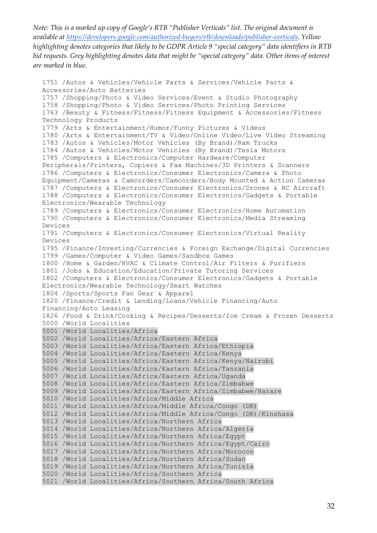```
1751 /Autos & Vehicles/Vehicle Parts & Services/Vehicle Parts & 
Accessories/Auto Batteries
1757 /Shopping/Photo & Video Services/Event & Studio Photography
1758 /Shopping/Photo & Video Services/Photo Printing Services
1763 /Beauty & Fitness/Fitness/Fitness Equipment & Accessories/Fitness 
Technology Products
1779 /Arts & Entertainment/Humor/Funny Pictures & Videos
1780 /Arts & Entertainment/TV & Video/Online Video/Live Video Streaming
1783 /Autos & Vehicles/Motor Vehicles (By Brand)/Ram Trucks
1784 /Autos & Vehicles/Motor Vehicles (By Brand)/Tesla Motors
1785 /Computers & Electronics/Computer Hardware/Computer 
Peripherals/Printers, Copiers & Fax Machines/3D Printers & Scanners
1786 /Computers & Electronics/Consumer Electronics/Camera & Photo 
Equipment/Cameras & Camcorders/Camcorders/Body Mounted & Action Cameras
1787 /Computers & Electronics/Consumer Electronics/Drones & RC Aircraft
1788 /Computers & Electronics/Consumer Electronics/Gadgets & Portable 
Electronics/Wearable Technology
1789 /Computers & Electronics/Consumer Electronics/Home Automation
1790 /Computers & Electronics/Consumer Electronics/Media Streaming 
Devices
1791 /Computers & Electronics/Consumer Electronics/Virtual Reality 
Devices
1795 /Finance/Investing/Currencies & Foreign Exchange/Digital Currencies
1799 /Games/Computer & Video Games/Sandbox Games
1800 /Home & Garden/HVAC & Climate Control/Air Filters & Purifiers
1801 /Jobs & Education/Education/Private Tutoring Services
1802 /Computers & Electronics/Consumer Electronics/Gadgets & Portable 
Electronics/Wearable Technology/Smart Watches
1804 /Sports/Sports Fan Gear & Apparel
1820 /Finance/Credit & Lending/Loans/Vehicle Financing/Auto 
Financing/Auto Leasing
1826 /Food & Drink/Cooking & Recipes/Desserts/Ice Cream & Frozen Desserts
5000 /World Localities
5001 /World Localities/Africa
5002 /World Localities/Africa/Eastern Africa
5003 /World Localities/Africa/Eastern Africa/Ethiopia
5004 /World Localities/Africa/Eastern Africa/Kenya
5005 /World Localities/Africa/Eastern Africa/Kenya/Nairobi
5006 /World Localities/Africa/Eastern Africa/Tanzania
5007 /World Localities/Africa/Eastern Africa/Uganda
5008 /World Localities/Africa/Eastern Africa/Zimbabwe
5009 /World Localities/Africa/Eastern Africa/Zimbabwe/Harare
5010 /World Localities/Africa/Middle Africa
5011 /World Localities/Africa/Middle Africa/Congo (DR)
5012 /World Localities/Africa/Middle Africa/Congo (DR)/Kinshasa
5013 /World Localities/Africa/Northern Africa
5014 /World Localities/Africa/Northern Africa/Algeria
5015 /World Localities/Africa/Northern Africa/Egypt
5016 /World Localities/Africa/Northern Africa/Egypt/Cairo
5017 /World Localities/Africa/Northern Africa/Morocco
5018 /World Localities/Africa/Northern Africa/Sudan
5019 /World Localities/Africa/Northern Africa/Tunisia
5020 /World Localities/Africa/Southern Africa
5021 /World Localities/Africa/Southern Africa/South Africa
```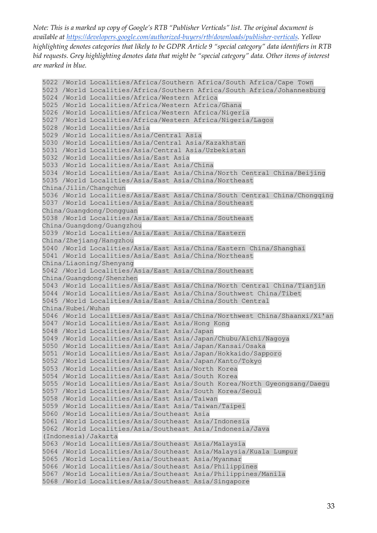```
5022 /World Localities/Africa/Southern Africa/South Africa/Cape Town
5023 /World Localities/Africa/Southern Africa/South Africa/Johannesburg
5024 /World Localities/Africa/Western Africa
5025 /World Localities/Africa/Western Africa/Ghana
5026 /World Localities/Africa/Western Africa/Nigeria
5027 /World Localities/Africa/Western Africa/Nigeria/Lagos
5028 /World Localities/Asia
5029 /World Localities/Asia/Central Asia
5030 /World Localities/Asia/Central Asia/Kazakhstan
5031 /World Localities/Asia/Central Asia/Uzbekistan
5032 /World Localities/Asia/East Asia
5033 /World Localities/Asia/East Asia/China
5034 /World Localities/Asia/East Asia/China/North Central China/Beijing
5035 /World Localities/Asia/East Asia/China/Northeast 
China/Jilin/Changchun
5036 /World Localities/Asia/East Asia/China/South Central China/Chongqing
5037 /World Localities/Asia/East Asia/China/Southeast 
China/Guangdong/Dongguan
5038 /World Localities/Asia/East Asia/China/Southeast 
China/Guangdong/Guangzhou
5039 /World Localities/Asia/East Asia/China/Eastern 
China/Zhejiang/Hangzhou
5040 /World Localities/Asia/East Asia/China/Eastern China/Shanghai
5041 /World Localities/Asia/East Asia/China/Northeast 
China/Liaoning/Shenyang
5042 /World Localities/Asia/East Asia/China/Southeast 
China/Guangdong/Shenzhen
5043 /World Localities/Asia/East Asia/China/North Central China/Tianjin
5044 /World Localities/Asia/East Asia/China/Southwest China/Tibet
5045 /World Localities/Asia/East Asia/China/South Central 
China/Hubei/Wuhan
5046 /World Localities/Asia/East Asia/China/Northwest China/Shaanxi/Xi'an
5047 /World Localities/Asia/East Asia/Hong Kong
5048 /World Localities/Asia/East Asia/Japan
5049 /World Localities/Asia/East Asia/Japan/Chubu/Aichi/Nagoya
5050 /World Localities/Asia/East Asia/Japan/Kansai/Osaka
5051 /World Localities/Asia/East Asia/Japan/Hokkaido/Sapporo
5052 /World Localities/Asia/East Asia/Japan/Kanto/Tokyo
5053 /World Localities/Asia/East Asia/North Korea
5054 /World Localities/Asia/East Asia/South Korea
5055 /World Localities/Asia/East Asia/South Korea/North Gyeongsang/Daegu
5057 /World Localities/Asia/East Asia/South Korea/Seoul
5058 /World Localities/Asia/East Asia/Taiwan
5059 /World Localities/Asia/East Asia/Taiwan/Taipei
5060 /World Localities/Asia/Southeast Asia
5061 /World Localities/Asia/Southeast Asia/Indonesia
5062 /World Localities/Asia/Southeast Asia/Indonesia/Java 
(Indonesia)/Jakarta
5063 /World Localities/Asia/Southeast Asia/Malaysia
5064 /World Localities/Asia/Southeast Asia/Malaysia/Kuala Lumpur
5065 /World Localities/Asia/Southeast Asia/Myanmar
5066 /World Localities/Asia/Southeast Asia/Philippines
5067 /World Localities/Asia/Southeast Asia/Philippines/Manila
5068 /World Localities/Asia/Southeast Asia/Singapore
```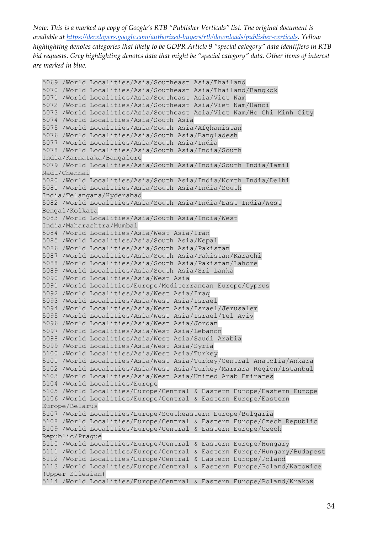```
5069 /World Localities/Asia/Southeast Asia/Thailand
5070 /World Localities/Asia/Southeast Asia/Thailand/Bangkok
5071 /World Localities/Asia/Southeast Asia/Viet Nam
5072 /World Localities/Asia/Southeast Asia/Viet Nam/Hanoi
5073 /World Localities/Asia/Southeast Asia/Viet Nam/Ho Chi Minh City
5074 /World Localities/Asia/South Asia
5075 /World Localities/Asia/South Asia/Afghanistan
5076 /World Localities/Asia/South Asia/Bangladesh
5077 /World Localities/Asia/South Asia/India
5078 /World Localities/Asia/South Asia/India/South 
India/Karnataka/Bangalore
5079 /World Localities/Asia/South Asia/India/South India/Tamil 
Nadu/Chennai
5080 /World Localities/Asia/South Asia/India/North India/Delhi
5081 /World Localities/Asia/South Asia/India/South 
India/Telangana/Hyderabad
5082 /World Localities/Asia/South Asia/India/East India/West 
Bengal/Kolkata
5083 /World Localities/Asia/South Asia/India/West 
India/Maharashtra/Mumbai
5084 /World Localities/Asia/West Asia/Iran
5085 /World Localities/Asia/South Asia/Nepal
5086 /World Localities/Asia/South Asia/Pakistan
5087 /World Localities/Asia/South Asia/Pakistan/Karachi
5088 /World Localities/Asia/South Asia/Pakistan/Lahore
5089 /World Localities/Asia/South Asia/Sri Lanka
5090 /World Localities/Asia/West Asia
5091 /World Localities/Europe/Mediterranean Europe/Cyprus
5092 /World Localities/Asia/West Asia/Iraq
5093 /World Localities/Asia/West Asia/Israel
5094 /World Localities/Asia/West Asia/Israel/Jerusalem
5095 /World Localities/Asia/West Asia/Israel/Tel Aviv
5096 /World Localities/Asia/West Asia/Jordan
5097 /World Localities/Asia/West Asia/Lebanon
5098 /World Localities/Asia/West Asia/Saudi Arabia
5099 /World Localities/Asia/West Asia/Syria
5100 /World Localities/Asia/West Asia/Turkey
5101 /World Localities/Asia/West Asia/Turkey/Central Anatolia/Ankara
5102 /World Localities/Asia/West Asia/Turkey/Marmara Region/Istanbul
5103 /World Localities/Asia/West Asia/United Arab Emirates
5104 /World Localities/Europe
5105 /World Localities/Europe/Central & Eastern Europe/Eastern Europe
5106 /World Localities/Europe/Central & Eastern Europe/Eastern 
Europe/Belarus
5107 /World Localities/Europe/Southeastern Europe/Bulgaria
5108 /World Localities/Europe/Central & Eastern Europe/Czech Republic
5109 /World Localities/Europe/Central & Eastern Europe/Czech 
Republic/Prague
5110 /World Localities/Europe/Central & Eastern Europe/Hungary
5111 /World Localities/Europe/Central & Eastern Europe/Hungary/Budapest
5112 /World Localities/Europe/Central & Eastern Europe/Poland
5113 /World Localities/Europe/Central & Eastern Europe/Poland/Katowice 
(Upper Silesian)
5114 /World Localities/Europe/Central & Eastern Europe/Poland/Krakow
```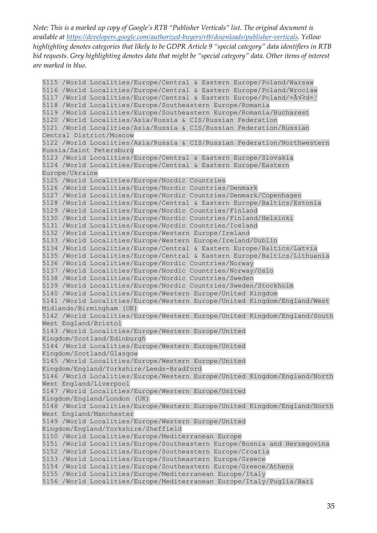5115 /World Localities/Europe/Central & Eastern Europe/Poland/Warsaw 5116 /World Localities/Europe/Central & Eastern Europe/Poland/Wroclaw 5117 /World Localities/Europe/Central & Eastern Europe/Poland/≈Åód≈∫ 5118 /World Localities/Europe/Southeastern Europe/Romania 5119 /World Localities/Europe/Southeastern Europe/Romania/Bucharest 5120 /World Localities/Asia/Russia & CIS/Russian Federation 5121 /World Localities/Asia/Russia & CIS/Russian Federation/Russian Central District/Moscow 5122 /World Localities/Asia/Russia & CIS/Russian Federation/Northwestern Russia/Saint Petersburg 5123 /World Localities/Europe/Central & Eastern Europe/Slovakia 5124 /World Localities/Europe/Central & Eastern Europe/Eastern Europe/Ukraine 5125 /World Localities/Europe/Nordic Countries 5126 /World Localities/Europe/Nordic Countries/Denmark 5127 /World Localities/Europe/Nordic Countries/Denmark/Copenhagen 5128 /World Localities/Europe/Central & Eastern Europe/Baltics/Estonia 5129 /World Localities/Europe/Nordic Countries/Finland 5130 /World Localities/Europe/Nordic Countries/Finland/Helsinki 5131 /World Localities/Europe/Nordic Countries/Iceland 5132 /World Localities/Europe/Western Europe/Ireland 5133 /World Localities/Europe/Western Europe/Ireland/Dublin 5134 /World Localities/Europe/Central & Eastern Europe/Baltics/Latvia 5135 /World Localities/Europe/Central & Eastern Europe/Baltics/Lithuania 5136 /World Localities/Europe/Nordic Countries/Norway 5137 /World Localities/Europe/Nordic Countries/Norway/Oslo 5138 /World Localities/Europe/Nordic Countries/Sweden 5139 /World Localities/Europe/Nordic Countries/Sweden/Stockholm 5140 /World Localities/Europe/Western Europe/United Kingdom 5141 /World Localities/Europe/Western Europe/United Kingdom/England/West Midlands/Birmingham (UK) 5142 /World Localities/Europe/Western Europe/United Kingdom/England/South West England/Bristol 5143 /World Localities/Europe/Western Europe/United Kingdom/Scotland/Edinburgh 5144 /World Localities/Europe/Western Europe/United Kingdom/Scotland/Glasgow 5145 /World Localities/Europe/Western Europe/United Kingdom/England/Yorkshire/Leeds-Bradford 5146 /World Localities/Europe/Western Europe/United Kingdom/England/North West England/Liverpool 5147 /World Localities/Europe/Western Europe/United Kingdom/England/London (UK) 5148 /World Localities/Europe/Western Europe/United Kingdom/England/North West England/Manchester 5149 /World Localities/Europe/Western Europe/United Kingdom/England/Yorkshire/Sheffield 5150 /World Localities/Europe/Mediterranean Europe 5151 /World Localities/Europe/Southeastern Europe/Bosnia and Herzegovina 5152 /World Localities/Europe/Southeastern Europe/Croatia 5153 /World Localities/Europe/Southeastern Europe/Greece 5154 /World Localities/Europe/Southeastern Europe/Greece/Athens 5155 /World Localities/Europe/Mediterranean Europe/Italy 5156 /World Localities/Europe/Mediterranean Europe/Italy/Puglia/Bari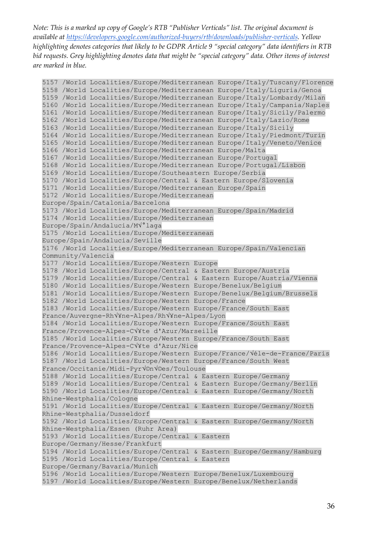```
5157 /World Localities/Europe/Mediterranean Europe/Italy/Tuscany/Florence
5158 /World Localities/Europe/Mediterranean Europe/Italy/Liguria/Genoa
5159 /World Localities/Europe/Mediterranean Europe/Italy/Lombardy/Milan
5160 /World Localities/Europe/Mediterranean Europe/Italy/Campania/Naples
5161 /World Localities/Europe/Mediterranean Europe/Italy/Sicily/Palermo
5162 /World Localities/Europe/Mediterranean Europe/Italy/Lazio/Rome
5163 /World Localities/Europe/Mediterranean Europe/Italy/Sicily
5164 /World Localities/Europe/Mediterranean Europe/Italy/Piedmont/Turin
5165 /World Localities/Europe/Mediterranean Europe/Italy/Veneto/Venice
5166 /World Localities/Europe/Mediterranean Europe/Malta
5167 /World Localities/Europe/Mediterranean Europe/Portugal
5168 /World Localities/Europe/Mediterranean Europe/Portugal/Lisbon
5169 /World Localities/Europe/Southeastern Europe/Serbia
5170 /World Localities/Europe/Central & Eastern Europe/Slovenia
5171 /World Localities/Europe/Mediterranean Europe/Spain
5172 /World Localities/Europe/Mediterranean 
Europe/Spain/Catalonia/Barcelona
5173 /World Localities/Europe/Mediterranean Europe/Spain/Madrid
5174 /World Localities/Europe/Mediterranean 
Europe/Spain/Andalucia/M√°laga
5175 /World Localities/Europe/Mediterranean 
Europe/Spain/Andalucia/Seville
5176 /World Localities/Europe/Mediterranean Europe/Spain/Valencian 
Community/Valencia
5177 /World Localities/Europe/Western Europe
5178 /World Localities/Europe/Central & Eastern Europe/Austria
5179 /World Localities/Europe/Central & Eastern Europe/Austria/Vienna
5180 /World Localities/Europe/Western Europe/Benelux/Belgium
5181 /World Localities/Europe/Western Europe/Benelux/Belgium/Brussels
5182 /World Localities/Europe/Western Europe/France
5183 /World Localities/Europe/Western Europe/France/South East 
France/Auvergne-Rh√¥ne-Alpes/Rh√¥ne-Alpes/Lyon
5184 /World Localities/Europe/Western Europe/France/South East 
France/Provence-Alpes-C√¥te d'Azur/Marseille
5185 /World Localities/Europe/Western Europe/France/South East 
France/Provence-Alpes-C√¥te d'Azur/Nice
5186 /World Localities/Europe/Western Europe/France/√éle-de-France/Paris
5187 /World Localities/Europe/Western Europe/France/South West 
France/Occitanie/Midi-Pyr√©n√©es/Toulouse
5188 /World Localities/Europe/Central & Eastern Europe/Germany
5189 /World Localities/Europe/Central & Eastern Europe/Germany/Berlin
5190 /World Localities/Europe/Central & Eastern Europe/Germany/North 
Rhine-Westphalia/Cologne
5191 /World Localities/Europe/Central & Eastern Europe/Germany/North 
Rhine-Westphalia/Dusseldorf
5192 /World Localities/Europe/Central & Eastern Europe/Germany/North 
Rhine-Westphalia/Essen (Ruhr Area)
5193 /World Localities/Europe/Central & Eastern 
Europe/Germany/Hesse/Frankfurt
5194 /World Localities/Europe/Central & Eastern Europe/Germany/Hamburg
5195 /World Localities/Europe/Central & Eastern 
Europe/Germany/Bavaria/Munich
5196 /World Localities/Europe/Western Europe/Benelux/Luxembourg
5197 /World Localities/Europe/Western Europe/Benelux/Netherlands
```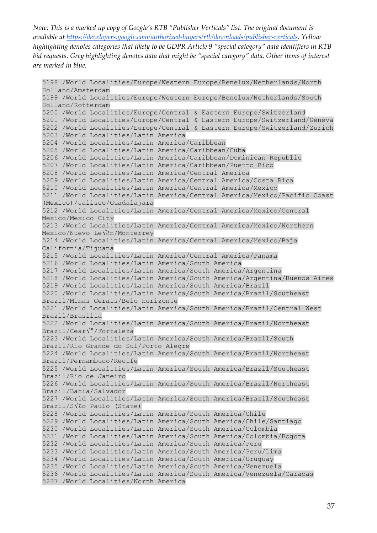```
5198 /World Localities/Europe/Western Europe/Benelux/Netherlands/North 
Holland/Amsterdam
5199 /World Localities/Europe/Western Europe/Benelux/Netherlands/South 
Holland/Rotterdam
5200 /World Localities/Europe/Central & Eastern Europe/Switzerland
5201 /World Localities/Europe/Central & Eastern Europe/Switzerland/Geneva
5202 /World Localities/Europe/Central & Eastern Europe/Switzerland/Zurich
5203 /World Localities/Latin America
5204 /World Localities/Latin America/Caribbean
5205 /World Localities/Latin America/Caribbean/Cuba
5206 /World Localities/Latin America/Caribbean/Dominican Republic
5207 /World Localities/Latin America/Caribbean/Puerto Rico
5208 /World Localities/Latin America/Central America
5209 /World Localities/Latin America/Central America/Costa Rica
5210 /World Localities/Latin America/Central America/Mexico
5211 /World Localities/Latin America/Central America/Mexico/Pacific Coast 
(Mexico)/Jalisco/Guadalajara
5212 /World Localities/Latin America/Central America/Mexico/Central 
Mexico/Mexico City
5213 /World Localities/Latin America/Central America/Mexico/Northern 
Mexico/Nuevo LeV<sup>2</sup>n/Monterrey
5214 /World Localities/Latin America/Central America/Mexico/Baja 
California/Tijuana
5215 /World Localities/Latin America/Central America/Panama
5216 /World Localities/Latin America/South America
5217 /World Localities/Latin America/South America/Argentina
5218 /World Localities/Latin America/South America/Argentina/Buenos Aires
5219 /World Localities/Latin America/South America/Brazil
5220 /World Localities/Latin America/South America/Brazil/Southeast 
Brazil/Minas Gerais/Belo Horizonte
5221 /World Localities/Latin America/South America/Brazil/Central West 
Brazil/Brasilia
5222 /World Localities/Latin America/South America/Brazil/Northeast 
Brazil/Cear√°/Fortaleza
5223 /World Localities/Latin America/South America/Brazil/South 
Brazil/Rio Grande do Sul/Porto Alegre
5224 /World Localities/Latin America/South America/Brazil/Northeast 
Brazil/Pernambuco/Recife
5225 /World Localities/Latin America/South America/Brazil/Southeast 
Brazil/Rio de Janeiro
5226 /World Localities/Latin America/South America/Brazil/Northeast 
Brazil/Bahia/Salvador
5227 /World Localities/Latin America/South America/Brazil/Southeast 
Brazil/S√£o Paulo (State)
5228 /World Localities/Latin America/South America/Chile
5229 /World Localities/Latin America/South America/Chile/Santiago
5230 /World Localities/Latin America/South America/Colombia
5231 /World Localities/Latin America/South America/Colombia/Bogota
5232 /World Localities/Latin America/South America/Peru
5233 /World Localities/Latin America/South America/Peru/Lima
5234 /World Localities/Latin America/South America/Uruguay
5235 /World Localities/Latin America/South America/Venezuela
5236 /World Localities/Latin America/South America/Venezuela/Caracas
5237 /World Localities/North America
```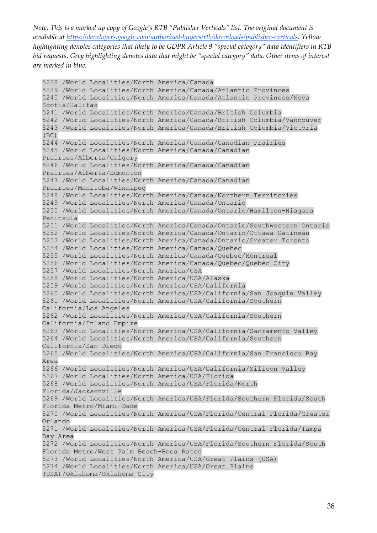```
5238 /World Localities/North America/Canada
5239 /World Localities/North America/Canada/Atlantic Provinces
5240 /World Localities/North America/Canada/Atlantic Provinces/Nova 
Scotia/Halifax
5241 /World Localities/North America/Canada/British Columbia
5242 /World Localities/North America/Canada/British Columbia/Vancouver
5243 /World Localities/North America/Canada/British Columbia/Victoria 
(BC)
5244 /World Localities/North America/Canada/Canadian Prairies
5245 /World Localities/North America/Canada/Canadian 
Prairies/Alberta/Calgary
5246 /World Localities/North America/Canada/Canadian 
Prairies/Alberta/Edmonton
5247 /World Localities/North America/Canada/Canadian 
Prairies/Manitoba/Winnipeg
5248 /World Localities/North America/Canada/Northern Territories
5249 /World Localities/North America/Canada/Ontario
5250 /World Localities/North America/Canada/Ontario/Hamilton-Niagara 
Peninsula
5251 /World Localities/North America/Canada/Ontario/Southwestern Ontario
5252 /World Localities/North America/Canada/Ontario/Ottawa-Gatineau
5253 /World Localities/North America/Canada/Ontario/Greater Toronto
5254 /World Localities/North America/Canada/Quebec
5255 /World Localities/North America/Canada/Quebec/Montreal
5256 /World Localities/North America/Canada/Quebec/Quebec City
5257 /World Localities/North America/USA
5258 /World Localities/North America/USA/Alaska
5259 /World Localities/North America/USA/California
5260 /World Localities/North America/USA/California/San Joaquin Valley
5261 /World Localities/North America/USA/California/Southern 
California/Los Angeles
5262 /World Localities/North America/USA/California/Southern 
California/Inland Empire
5263 /World Localities/North America/USA/California/Sacramento Valley
5264 /World Localities/North America/USA/California/Southern 
California/San Diego
5265 /World Localities/North America/USA/California/San Francisco Bay 
Area
5266 /World Localities/North America/USA/California/Silicon Valley
5267 /World Localities/North America/USA/Florida
5268 /World Localities/North America/USA/Florida/North 
Florida/Jacksonville
5269 /World Localities/North America/USA/Florida/Southern Florida/South 
Florida Metro/Miami-Dade
5270 /World Localities/North America/USA/Florida/Central Florida/Greater 
Orlando
5271 /World Localities/North America/USA/Florida/Central Florida/Tampa 
Bay Area
5272 /World Localities/North America/USA/Florida/Southern Florida/South 
Florida Metro/West Palm Beach-Boca Raton
5273 /World Localities/North America/USA/Great Plains (USA)
5274 /World Localities/North America/USA/Great Plains 
(USA)/Oklahoma/Oklahoma City
```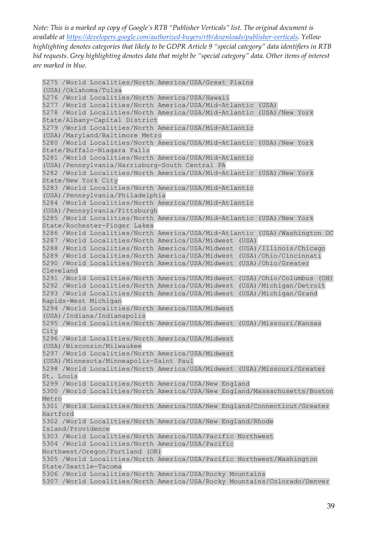```
5275 /World Localities/North America/USA/Great Plains 
(USA)/Oklahoma/Tulsa
5276 /World Localities/North America/USA/Hawaii
5277 /World Localities/North America/USA/Mid-Atlantic (USA)
5278 /World Localities/North America/USA/Mid-Atlantic (USA)/New York 
State/Albany-Capital District
5279 /World Localities/North America/USA/Mid-Atlantic 
(USA)/Maryland/Baltimore Metro
5280 /World Localities/North America/USA/Mid-Atlantic (USA)/New York 
State/Buffalo-Niagara Falls
5281 /World Localities/North America/USA/Mid-Atlantic 
(USA)/Pennsylvania/Harrisburg-South Central PA
5282 /World Localities/North America/USA/Mid-Atlantic (USA)/New York 
State/New York City
5283 /World Localities/North America/USA/Mid-Atlantic 
(USA)/Pennsylvania/Philadelphia
5284 /World Localities/North America/USA/Mid-Atlantic 
(USA)/Pennsylvania/Pittsburgh
5285 /World Localities/North America/USA/Mid-Atlantic (USA)/New York 
State/Rochester-Finger Lakes
5286 /World Localities/North America/USA/Mid-Atlantic (USA)/Washington DC
5287 /World Localities/North America/USA/Midwest (USA)
5288 /World Localities/North America/USA/Midwest (USA)/Illinois/Chicago
5289 /World Localities/North America/USA/Midwest (USA)/Ohio/Cincinnati
5290 /World Localities/North America/USA/Midwest (USA)/Ohio/Greater 
Cleveland
5291 /World Localities/North America/USA/Midwest (USA)/Ohio/Columbus (OH)
5292 /World Localities/North America/USA/Midwest (USA)/Michigan/Detroit
5293 /World Localities/North America/USA/Midwest (USA)/Michigan/Grand 
Rapids-West Michigan
5294 /World Localities/North America/USA/Midwest
(USA)/Indiana/Indianapolis
5295 /World Localities/North America/USA/Midwest (USA)/Missouri/Kansas 
City
5296 /World Localities/North America/USA/Midwest 
(USA)/Wisconsin/Milwaukee
5297 /World Localities/North America/USA/Midwest 
(USA)/Minnesota/Minneapolis-Saint Paul
5298 /World Localities/North America/USA/Midwest (USA)/Missouri/Greater 
St. Louis
5299 /World Localities/North America/USA/New England
5300 /World Localities/North America/USA/New England/Massachusetts/Boston 
Metro
5301 /World Localities/North America/USA/New England/Connecticut/Greater 
Hartford
5302 /World Localities/North America/USA/New England/Rhode 
Island/Providence
5303 /World Localities/North America/USA/Pacific Northwest
5304 /World Localities/North America/USA/Pacific 
Northwest/Oregon/Portland (OR)
5305 /World Localities/North America/USA/Pacific Northwest/Washington 
State/Seattle-Tacoma
5306 /World Localities/North America/USA/Rocky Mountains
5307 /World Localities/North America/USA/Rocky Mountains/Colorado/Denver
```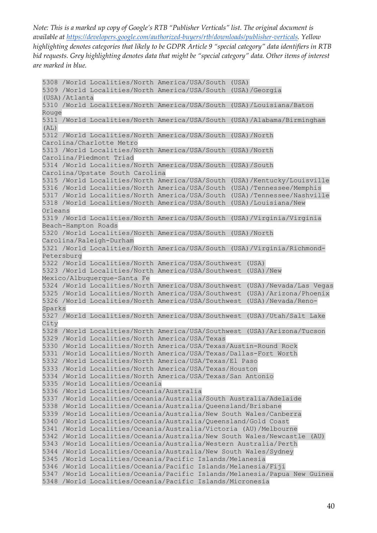5308 /World Localities/North America/USA/South (USA) 5309 /World Localities/North America/USA/South (USA)/Georgia (USA)/Atlanta 5310 /World Localities/North America/USA/South (USA)/Louisiana/Baton Rouge 5311 /World Localities/North America/USA/South (USA)/Alabama/Birmingham  $(AL)$ 5312 /World Localities/North America/USA/South (USA)/North Carolina/Charlotte Metro 5313 /World Localities/North America/USA/South (USA)/North Carolina/Piedmont Triad 5314 /World Localities/North America/USA/South (USA)/South Carolina/Upstate South Carolina 5315 /World Localities/North America/USA/South (USA)/Kentucky/Louisville 5316 /World Localities/North America/USA/South (USA)/Tennessee/Memphis 5317 /World Localities/North America/USA/South (USA)/Tennessee/Nashville 5318 /World Localities/North America/USA/South (USA)/Louisiana/New Orleans 5319 /World Localities/North America/USA/South (USA)/Virginia/Virginia Beach-Hampton Roads 5320 /World Localities/North America/USA/South (USA)/North Carolina/Raleigh-Durham 5321 /World Localities/North America/USA/South (USA)/Virginia/Richmond-Petersburg 5322 /World Localities/North America/USA/Southwest (USA) 5323 /World Localities/North America/USA/Southwest (USA)/New Mexico/Albuquerque-Santa Fe 5324 /World Localities/North America/USA/Southwest (USA)/Nevada/Las Vegas 5325 /World Localities/North America/USA/Southwest (USA)/Arizona/Phoenix 5326 /World Localities/North America/USA/Southwest (USA)/Nevada/Reno-Sparks 5327 /World Localities/North America/USA/Southwest (USA)/Utah/Salt Lake City 5328 /World Localities/North America/USA/Southwest (USA)/Arizona/Tucson 5329 /World Localities/North America/USA/Texas 5330 /World Localities/North America/USA/Texas/Austin-Round Rock 5331 /World Localities/North America/USA/Texas/Dallas-Fort Worth 5332 /World Localities/North America/USA/Texas/El Paso 5333 /World Localities/North America/USA/Texas/Houston 5334 /World Localities/North America/USA/Texas/San Antonio 5335 /World Localities/Oceania 5336 /World Localities/Oceania/Australia 5337 /World Localities/Oceania/Australia/South Australia/Adelaide 5338 /World Localities/Oceania/Australia/Queensland/Brisbane 5339 /World Localities/Oceania/Australia/New South Wales/Canberra 5340 /World Localities/Oceania/Australia/Queensland/Gold Coast 5341 /World Localities/Oceania/Australia/Victoria (AU)/Melbourne 5342 /World Localities/Oceania/Australia/New South Wales/Newcastle (AU) 5343 /World Localities/Oceania/Australia/Western Australia/Perth 5344 /World Localities/Oceania/Australia/New South Wales/Sydney 5345 /World Localities/Oceania/Pacific Islands/Melanesia 5346 /World Localities/Oceania/Pacific Islands/Melanesia/Fiji 5347 /World Localities/Oceania/Pacific Islands/Melanesia/Papua New Guinea 5348 /World Localities/Oceania/Pacific Islands/Micronesia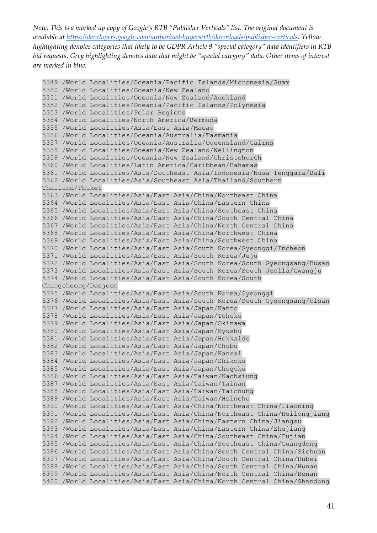5349 /World Localities/Oceania/Pacific Islands/Micronesia/Guam 5350 /World Localities/Oceania/New Zealand 5351 /World Localities/Oceania/New Zealand/Auckland 5352 /World Localities/Oceania/Pacific Islands/Polynesia 5353 /World Localities/Polar Regions 5354 /World Localities/North America/Bermuda 5355 /World Localities/Asia/East Asia/Macau 5356 /World Localities/Oceania/Australia/Tasmania 5357 /World Localities/Oceania/Australia/Queensland/Cairns 5358 /World Localities/Oceania/New Zealand/Wellington 5359 /World Localities/Oceania/New Zealand/Christchurch 5360 /World Localities/Latin America/Caribbean/Bahamas 5361 /World Localities/Asia/Southeast Asia/Indonesia/Nusa Tenggara/Bali 5362 /World Localities/Asia/Southeast Asia/Thailand/Southern Thailand/Phuket 5363 /World Localities/Asia/East Asia/China/Northeast China 5364 /World Localities/Asia/East Asia/China/Eastern China 5365 /World Localities/Asia/East Asia/China/Southeast China 5366 /World Localities/Asia/East Asia/China/South Central China 5367 /World Localities/Asia/East Asia/China/North Central China 5368 /World Localities/Asia/East Asia/China/Northwest China 5369 /World Localities/Asia/East Asia/China/Southwest China 5370 /World Localities/Asia/East Asia/South Korea/Gyeonggi/Incheon 5371 /World Localities/Asia/East Asia/South Korea/Jeju 5372 /World Localities/Asia/East Asia/South Korea/South Gyeongsang/Busan 5373 /World Localities/Asia/East Asia/South Korea/South Jeolla/Gwangju 5374 /World Localities/Asia/East Asia/South Korea/South Chungcheong/Daejeon 5375 /World Localities/Asia/East Asia/South Korea/Gyeonggi 5376 /World Localities/Asia/East Asia/South Korea/South Gyeongsang/Ulsan 5377 /World Localities/Asia/East Asia/Japan/Kanto 5378 /World Localities/Asia/East Asia/Japan/Tohoku 5379 /World Localities/Asia/East Asia/Japan/Okinawa 5380 /World Localities/Asia/East Asia/Japan/Kyushu 5381 /World Localities/Asia/East Asia/Japan/Hokkaido 5382 /World Localities/Asia/East Asia/Japan/Chubu 5383 /World Localities/Asia/East Asia/Japan/Kansai 5384 /World Localities/Asia/East Asia/Japan/Shikoku 5385 /World Localities/Asia/East Asia/Japan/Chugoku 5386 /World Localities/Asia/East Asia/Taiwan/Kaohsiung 5387 /World Localities/Asia/East Asia/Taiwan/Tainan 5388 /World Localities/Asia/East Asia/Taiwan/Taichung 5389 /World Localities/Asia/East Asia/Taiwan/Hsinchu 5390 /World Localities/Asia/East Asia/China/Northeast China/Liaoning 5391 /World Localities/Asia/East Asia/China/Northeast China/Heilongjiang 5392 /World Localities/Asia/East Asia/China/Eastern China/Jiangsu 5393 /World Localities/Asia/East Asia/China/Eastern China/Zhejiang 5394 /World Localities/Asia/East Asia/China/Southeast China/Fujian 5395 /World Localities/Asia/East Asia/China/Southeast China/Guangdong 5396 /World Localities/Asia/East Asia/China/South Central China/Sichuan 5397 /World Localities/Asia/East Asia/China/South Central China/Hubei 5398 /World Localities/Asia/East Asia/China/South Central China/Hunan 5399 /World Localities/Asia/East Asia/China/North Central China/Henan 5400 /World Localities/Asia/East Asia/China/North Central China/Shandong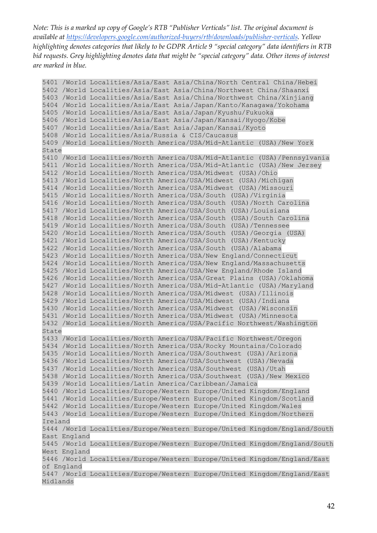5401 /World Localities/Asia/East Asia/China/North Central China/Hebei 5402 /World Localities/Asia/East Asia/China/Northwest China/Shaanxi 5403 /World Localities/Asia/East Asia/China/Northwest China/Xinjiang 5404 /World Localities/Asia/East Asia/Japan/Kanto/Kanagawa/Yokohama 5405 /World Localities/Asia/East Asia/Japan/Kyushu/Fukuoka 5406 /World Localities/Asia/East Asia/Japan/Kansai/Hyogo/Kobe 5407 /World Localities/Asia/East Asia/Japan/Kansai/Kyoto 5408 /World Localities/Asia/Russia & CIS/Caucasus 5409 /World Localities/North America/USA/Mid-Atlantic (USA)/New York State 5410 /World Localities/North America/USA/Mid-Atlantic (USA)/Pennsylvania 5411 /World Localities/North America/USA/Mid-Atlantic (USA)/New Jersey 5412 /World Localities/North America/USA/Midwest (USA)/Ohio 5413 /World Localities/North America/USA/Midwest (USA)/Michigan 5414 /World Localities/North America/USA/Midwest (USA)/Missouri 5415 /World Localities/North America/USA/South (USA)/Virginia 5416 /World Localities/North America/USA/South (USA)/North Carolina 5417 /World Localities/North America/USA/South (USA)/Louisiana 5418 /World Localities/North America/USA/South (USA)/South Carolina 5419 /World Localities/North America/USA/South (USA)/Tennessee 5420 /World Localities/North America/USA/South (USA)/Georgia (USA) 5421 /World Localities/North America/USA/South (USA)/Kentucky 5422 /World Localities/North America/USA/South (USA)/Alabama 5423 /World Localities/North America/USA/New England/Connecticut 5424 /World Localities/North America/USA/New England/Massachusetts 5425 /World Localities/North America/USA/New England/Rhode Island 5426 /World Localities/North America/USA/Great Plains (USA)/Oklahoma 5427 /World Localities/North America/USA/Mid-Atlantic (USA)/Maryland 5428 /World Localities/North America/USA/Midwest (USA)/Illinois 5429 /World Localities/North America/USA/Midwest (USA)/Indiana 5430 /World Localities/North America/USA/Midwest (USA)/Wisconsin 5431 /World Localities/North America/USA/Midwest (USA)/Minnesota 5432 /World Localities/North America/USA/Pacific Northwest/Washington State 5433 /World Localities/North America/USA/Pacific Northwest/Oregon 5434 /World Localities/North America/USA/Rocky Mountains/Colorado 5435 /World Localities/North America/USA/Southwest (USA)/Arizona 5436 /World Localities/North America/USA/Southwest (USA)/Nevada 5437 /World Localities/North America/USA/Southwest (USA)/Utah 5438 /World Localities/North America/USA/Southwest (USA)/New Mexico 5439 /World Localities/Latin America/Caribbean/Jamaica 5440 /World Localities/Europe/Western Europe/United Kingdom/England 5441 /World Localities/Europe/Western Europe/United Kingdom/Scotland 5442 /World Localities/Europe/Western Europe/United Kingdom/Wales 5443 /World Localities/Europe/Western Europe/United Kingdom/Northern Ireland 5444 /World Localities/Europe/Western Europe/United Kingdom/England/South East England 5445 /World Localities/Europe/Western Europe/United Kingdom/England/South West England 5446 /World Localities/Europe/Western Europe/United Kingdom/England/East of England 5447 /World Localities/Europe/Western Europe/United Kingdom/England/East Midlands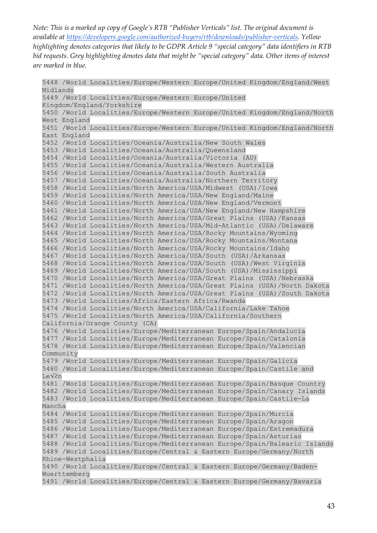5448 /World Localities/Europe/Western Europe/United Kingdom/England/West Midlands 5449 /World Localities/Europe/Western Europe/United Kingdom/England/Yorkshire 5450 /World Localities/Europe/Western Europe/United Kingdom/England/North West England 5451 /World Localities/Europe/Western Europe/United Kingdom/England/North East England 5452 /World Localities/Oceania/Australia/New South Wales 5453 /World Localities/Oceania/Australia/Queensland 5454 /World Localities/Oceania/Australia/Victoria (AU) 5455 /World Localities/Oceania/Australia/Western Australia 5456 /World Localities/Oceania/Australia/South Australia 5457 /World Localities/Oceania/Australia/Northern Territory 5458 /World Localities/North America/USA/Midwest (USA)/Iowa 5459 /World Localities/North America/USA/New England/Maine 5460 /World Localities/North America/USA/New England/Vermont 5461 /World Localities/North America/USA/New England/New Hampshire 5462 /World Localities/North America/USA/Great Plains (USA)/Kansas 5463 /World Localities/North America/USA/Mid-Atlantic (USA)/Delaware 5464 /World Localities/North America/USA/Rocky Mountains/Wyoming 5465 /World Localities/North America/USA/Rocky Mountains/Montana 5466 /World Localities/North America/USA/Rocky Mountains/Idaho 5467 /World Localities/North America/USA/South (USA)/Arkansas 5468 /World Localities/North America/USA/South (USA)/West Virginia 5469 /World Localities/North America/USA/South (USA)/Mississippi 5470 /World Localities/North America/USA/Great Plains (USA)/Nebraska 5471 /World Localities/North America/USA/Great Plains (USA)/North Dakota 5472 /World Localities/North America/USA/Great Plains (USA)/South Dakota 5473 /World Localities/Africa/Eastern Africa/Rwanda 5474 /World Localities/North America/USA/California/Lake Tahoe 5475 /World Localities/North America/USA/California/Southern California/Orange County (CA) 5476 /World Localities/Europe/Mediterranean Europe/Spain/Andalucia 5477 /World Localities/Europe/Mediterranean Europe/Spain/Catalonia 5478 /World Localities/Europe/Mediterranean Europe/Spain/Valencian Community 5479 /World Localities/Europe/Mediterranean Europe/Spain/Galicia 5480 /World Localities/Europe/Mediterranean Europe/Spain/Castile and León 5481 /World Localities/Europe/Mediterranean Europe/Spain/Basque Country 5482 /World Localities/Europe/Mediterranean Europe/Spain/Canary Islands 5483 /World Localities/Europe/Mediterranean Europe/Spain/Castile-La Mancha 5484 /World Localities/Europe/Mediterranean Europe/Spain/Murcia 5485 /World Localities/Europe/Mediterranean Europe/Spain/Aragon 5486 /World Localities/Europe/Mediterranean Europe/Spain/Extremadura 5487 /World Localities/Europe/Mediterranean Europe/Spain/Asturias 5488 /World Localities/Europe/Mediterranean Europe/Spain/Balearic Islands 5489 /World Localities/Europe/Central & Eastern Europe/Germany/North Rhine-Westphalia 5490 /World Localities/Europe/Central & Eastern Europe/Germany/Baden-Wuerttemberg 5491 /World Localities/Europe/Central & Eastern Europe/Germany/Bavaria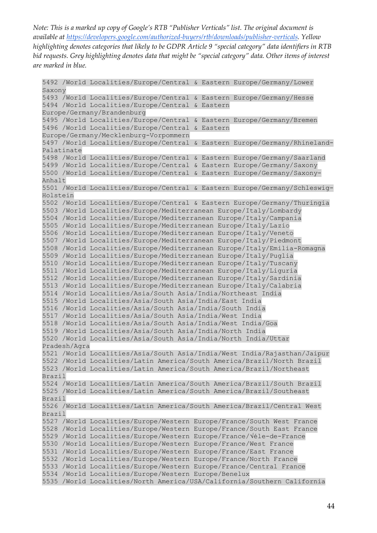5492 /World Localities/Europe/Central & Eastern Europe/Germany/Lower Saxony 5493 /World Localities/Europe/Central & Eastern Europe/Germany/Hesse 5494 /World Localities/Europe/Central & Eastern Europe/Germany/Brandenburg 5495 /World Localities/Europe/Central & Eastern Europe/Germany/Bremen 5496 /World Localities/Europe/Central & Eastern Europe/Germany/Mecklenburg-Vorpommern 5497 /World Localities/Europe/Central & Eastern Europe/Germany/Rhineland-Palatinate 5498 /World Localities/Europe/Central & Eastern Europe/Germany/Saarland 5499 /World Localities/Europe/Central & Eastern Europe/Germany/Saxony 5500 /World Localities/Europe/Central & Eastern Europe/Germany/Saxony-Anhalt 5501 /World Localities/Europe/Central & Eastern Europe/Germany/Schleswig-Holstein 5502 /World Localities/Europe/Central & Eastern Europe/Germany/Thuringia 5503 /World Localities/Europe/Mediterranean Europe/Italy/Lombardy 5504 /World Localities/Europe/Mediterranean Europe/Italy/Campania 5505 /World Localities/Europe/Mediterranean Europe/Italy/Lazio 5506 /World Localities/Europe/Mediterranean Europe/Italy/Veneto 5507 /World Localities/Europe/Mediterranean Europe/Italy/Piedmont 5508 /World Localities/Europe/Mediterranean Europe/Italy/Emilia-Romagna 5509 /World Localities/Europe/Mediterranean Europe/Italy/Puglia 5510 /World Localities/Europe/Mediterranean Europe/Italy/Tuscany 5511 /World Localities/Europe/Mediterranean Europe/Italy/Liguria 5512 /World Localities/Europe/Mediterranean Europe/Italy/Sardinia 5513 /World Localities/Europe/Mediterranean Europe/Italy/Calabria 5514 /World Localities/Asia/South Asia/India/Northeast India 5515 /World Localities/Asia/South Asia/India/East India 5516 /World Localities/Asia/South Asia/India/South India 5517 /World Localities/Asia/South Asia/India/West India 5518 /World Localities/Asia/South Asia/India/West India/Goa 5519 /World Localities/Asia/South Asia/India/North India 5520 /World Localities/Asia/South Asia/India/North India/Uttar Pradesh/Agra 5521 /World Localities/Asia/South Asia/India/West India/Rajasthan/Jaipur 5522 /World Localities/Latin America/South America/Brazil/North Brazil 5523 /World Localities/Latin America/South America/Brazil/Northeast Brazil 5524 /World Localities/Latin America/South America/Brazil/South Brazil 5525 /World Localities/Latin America/South America/Brazil/Southeast Brazil 5526 /World Localities/Latin America/South America/Brazil/Central West Brazil 5527 /World Localities/Europe/Western Europe/France/South West France 5528 /World Localities/Europe/Western Europe/France/South East France 5529 /World Localities/Europe/Western Europe/France/√éle-de-France 5530 /World Localities/Europe/Western Europe/France/West France 5531 /World Localities/Europe/Western Europe/France/East France 5532 /World Localities/Europe/Western Europe/France/North France 5533 /World Localities/Europe/Western Europe/France/Central France 5534 /World Localities/Europe/Western Europe/Benelux 5535 /World Localities/North America/USA/California/Southern California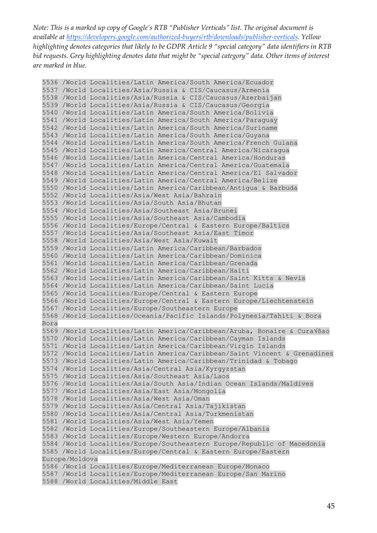```
5536 /World Localities/Latin America/South America/Ecuador
5537 /World Localities/Asia/Russia & CIS/Caucasus/Armenia
5538 /World Localities/Asia/Russia & CIS/Caucasus/Azerbaijan
5539 /World Localities/Asia/Russia & CIS/Caucasus/Georgia
5540 /World Localities/Latin America/South America/Bolivia
5541 /World Localities/Latin America/South America/Paraguay
5542 /World Localities/Latin America/South America/Suriname
5543 /World Localities/Latin America/South America/Guyana
5544 /World Localities/Latin America/South America/French Guiana
5545 /World Localities/Latin America/Central America/Nicaragua
5546 /World Localities/Latin America/Central America/Honduras
5547 /World Localities/Latin America/Central America/Guatemala
5548 /World Localities/Latin America/Central America/El Salvador
5549 /World Localities/Latin America/Central America/Belize
5550 /World Localities/Latin America/Caribbean/Antigua & Barbuda
5552 /World Localities/Asia/West Asia/Bahrain
5553 /World Localities/Asia/South Asia/Bhutan
5554 /World Localities/Asia/Southeast Asia/Brunei
5555 /World Localities/Asia/Southeast Asia/Cambodia
5556 /World Localities/Europe/Central & Eastern Europe/Baltics
5557 /World Localities/Asia/Southeast Asia/East Timor
5558 /World Localities/Asia/West Asia/Kuwait
5559 /World Localities/Latin America/Caribbean/Barbados
5560 /World Localities/Latin America/Caribbean/Dominica
5561 /World Localities/Latin America/Caribbean/Grenada
5562 /World Localities/Latin America/Caribbean/Haiti
5563 /World Localities/Latin America/Caribbean/Saint Kitts & Nevis
5564 /World Localities/Latin America/Caribbean/Saint Lucia
5565 /World Localities/Europe/Central & Eastern Europe
5566 /World Localities/Europe/Central & Eastern Europe/Liechtenstein
5567 /World Localities/Europe/Southeastern Europe
5568 /World Localities/Oceania/Pacific Islands/Polynesia/Tahiti & Bora 
Bora
5569 /World Localities/Latin America/Caribbean/Aruba, Bonaire & Cura√ßao
5570 /World Localities/Latin America/Caribbean/Cayman Islands
5571 /World Localities/Latin America/Caribbean/Virgin Islands
5572 /World Localities/Latin America/Caribbean/Saint Vincent & Grenadines
5573 /World Localities/Latin America/Caribbean/Trinidad & Tobago
5574 /World Localities/Asia/Central Asia/Kyrgyzstan
5575 /World Localities/Asia/Southeast Asia/Laos
5576 /World Localities/Asia/South Asia/Indian Ocean Islands/Maldives
5577 /World Localities/Asia/East Asia/Mongolia
5578 /World Localities/Asia/West Asia/Oman
5579 /World Localities/Asia/Central Asia/Tajikistan
5580 /World Localities/Asia/Central Asia/Turkmenistan
5581 /World Localities/Asia/West Asia/Yemen
5582 /World Localities/Europe/Southeastern Europe/Albania
5583 /World Localities/Europe/Western Europe/Andorra
5584 /World Localities/Europe/Southeastern Europe/Republic of Macedonia
5585 /World Localities/Europe/Central & Eastern Europe/Eastern 
Europe/Moldova
5586 /World Localities/Europe/Mediterranean Europe/Monaco
5587 /World Localities/Europe/Mediterranean Europe/San Marino
5588 /World Localities/Middle East
```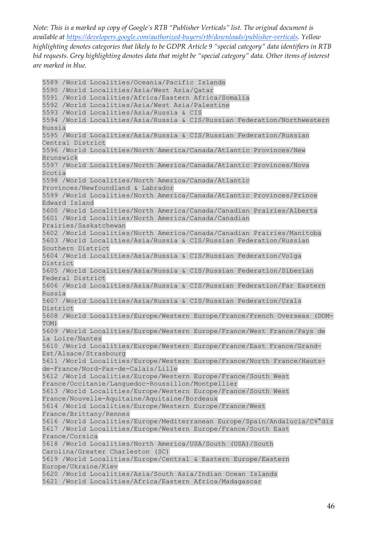5589 /World Localities/Oceania/Pacific Islands 5590 /World Localities/Asia/West Asia/Qatar 5591 /World Localities/Africa/Eastern Africa/Somalia 5592 /World Localities/Asia/West Asia/Palestine 5593 /World Localities/Asia/Russia & CIS 5594 /World Localities/Asia/Russia & CIS/Russian Federation/Northwestern Russia 5595 /World Localities/Asia/Russia & CIS/Russian Federation/Russian Central District 5596 /World Localities/North America/Canada/Atlantic Provinces/New Brunswick 5597 /World Localities/North America/Canada/Atlantic Provinces/Nova Scotia 5598 /World Localities/North America/Canada/Atlantic Provinces/Newfoundland & Labrador 5599 /World Localities/North America/Canada/Atlantic Provinces/Prince Edward Island 5600 /World Localities/North America/Canada/Canadian Prairies/Alberta 5601 /World Localities/North America/Canada/Canadian Prairies/Saskatchewan 5602 /World Localities/North America/Canada/Canadian Prairies/Manitoba 5603 /World Localities/Asia/Russia & CIS/Russian Federation/Russian Southern District 5604 /World Localities/Asia/Russia & CIS/Russian Federation/Volga District 5605 /World Localities/Asia/Russia & CIS/Russian Federation/Siberian Federal District 5606 /World Localities/Asia/Russia & CIS/Russian Federation/Far Eastern Russia 5607 /World Localities/Asia/Russia & CIS/Russian Federation/Urals District 5608 /World Localities/Europe/Western Europe/France/French Overseas (DOM-TOM) 5609 /World Localities/Europe/Western Europe/France/West France/Pays de la Loire/Nantes 5610 /World Localities/Europe/Western Europe/France/East France/Grand-Est/Alsace/Strasbourg 5611 /World Localities/Europe/Western Europe/France/North France/Hautsde-France/Nord-Pas-de-Calais/Lille 5612 /World Localities/Europe/Western Europe/France/South West France/Occitanie/Languedoc-Roussillon/Montpellier 5613 /World Localities/Europe/Western Europe/France/South West France/Nouvelle-Aquitaine/Aquitaine/Bordeaux 5614 /World Localities/Europe/Western Europe/France/West France/Brittany/Rennes 5616 /World Localities/Europe/Mediterranean Europe/Spain/Andalucia/C√°diz 5617 /World Localities/Europe/Western Europe/France/South East France/Corsica 5618 /World Localities/North America/USA/South (USA)/South Carolina/Greater Charleston (SC) 5619 /World Localities/Europe/Central & Eastern Europe/Eastern Europe/Ukraine/Kiev 5620 /World Localities/Asia/South Asia/Indian Ocean Islands 5621 /World Localities/Africa/Eastern Africa/Madagascar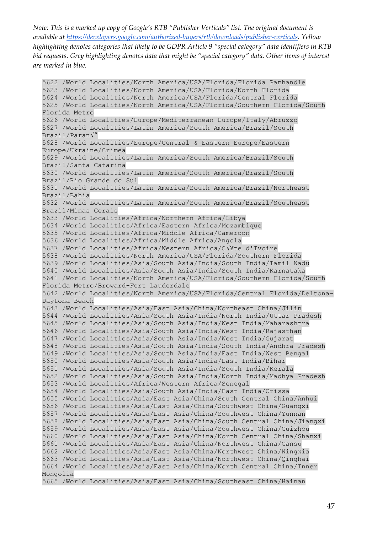5622 /World Localities/North America/USA/Florida/Florida Panhandle 5623 /World Localities/North America/USA/Florida/North Florida 5624 /World Localities/North America/USA/Florida/Central Florida 5625 /World Localities/North America/USA/Florida/Southern Florida/South Florida Metro 5626 /World Localities/Europe/Mediterranean Europe/Italy/Abruzzo 5627 /World Localities/Latin America/South America/Brazil/South Brazil/Paran√° 5628 /World Localities/Europe/Central & Eastern Europe/Eastern Europe/Ukraine/Crimea 5629 /World Localities/Latin America/South America/Brazil/South Brazil/Santa Catarina 5630 /World Localities/Latin America/South America/Brazil/South Brazil/Rio Grande do Sul 5631 /World Localities/Latin America/South America/Brazil/Northeast Brazil/Bahia 5632 /World Localities/Latin America/South America/Brazil/Southeast Brazil/Minas Gerais 5633 /World Localities/Africa/Northern Africa/Libya 5634 /World Localities/Africa/Eastern Africa/Mozambique 5635 /World Localities/Africa/Middle Africa/Cameroon 5636 /World Localities/Africa/Middle Africa/Angola 5637 /World Localities/Africa/Western Africa/C√¥te d'Ivoire 5638 /World Localities/North America/USA/Florida/Southern Florida 5639 /World Localities/Asia/South Asia/India/South India/Tamil Nadu 5640 /World Localities/Asia/South Asia/India/South India/Karnataka 5641 /World Localities/North America/USA/Florida/Southern Florida/South Florida Metro/Broward-Fort Lauderdale 5642 /World Localities/North America/USA/Florida/Central Florida/Deltona-Daytona Beach 5643 /World Localities/Asia/East Asia/China/Northeast China/Jilin 5644 /World Localities/Asia/South Asia/India/North India/Uttar Pradesh 5645 /World Localities/Asia/South Asia/India/West India/Maharashtra 5646 /World Localities/Asia/South Asia/India/West India/Rajasthan 5647 /World Localities/Asia/South Asia/India/West India/Gujarat 5648 /World Localities/Asia/South Asia/India/South India/Andhra Pradesh 5649 /World Localities/Asia/South Asia/India/East India/West Bengal 5650 /World Localities/Asia/South Asia/India/East India/Bihar 5651 /World Localities/Asia/South Asia/India/South India/Kerala 5652 /World Localities/Asia/South Asia/India/North India/Madhya Pradesh 5653 /World Localities/Africa/Western Africa/Senegal 5654 /World Localities/Asia/South Asia/India/East India/Orissa 5655 /World Localities/Asia/East Asia/China/South Central China/Anhui 5656 /World Localities/Asia/East Asia/China/Southwest China/Guangxi 5657 /World Localities/Asia/East Asia/China/Southwest China/Yunnan 5658 /World Localities/Asia/East Asia/China/South Central China/Jiangxi 5659 /World Localities/Asia/East Asia/China/Southwest China/Guizhou 5660 /World Localities/Asia/East Asia/China/North Central China/Shanxi 5661 /World Localities/Asia/East Asia/China/Northwest China/Gansu 5662 /World Localities/Asia/East Asia/China/Northwest China/Ningxia 5663 /World Localities/Asia/East Asia/China/Northwest China/Qinghai 5664 /World Localities/Asia/East Asia/China/North Central China/Inner Mongolia 5665 /World Localities/Asia/East Asia/China/Southeast China/Hainan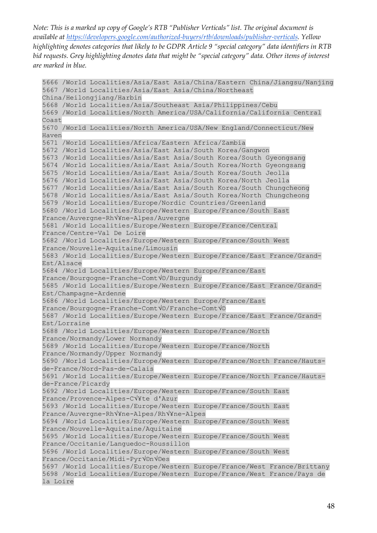```
5666 /World Localities/Asia/East Asia/China/Eastern China/Jiangsu/Nanjing
5667 /World Localities/Asia/East Asia/China/Northeast 
China/Heilongjiang/Harbin
5668 /World Localities/Asia/Southeast Asia/Philippines/Cebu
5669 /World Localities/North America/USA/California/California Central 
Coast
5670 /World Localities/North America/USA/New England/Connecticut/New 
Haven
5671 /World Localities/Africa/Eastern Africa/Zambia
5672 /World Localities/Asia/East Asia/South Korea/Gangwon
5673 /World Localities/Asia/East Asia/South Korea/South Gyeongsang
5674 /World Localities/Asia/East Asia/South Korea/North Gyeongsang
5675 /World Localities/Asia/East Asia/South Korea/South Jeolla
5676 /World Localities/Asia/East Asia/South Korea/North Jeolla
5677 /World Localities/Asia/East Asia/South Korea/South Chungcheong
5678 /World Localities/Asia/East Asia/South Korea/North Chungcheong
5679 /World Localities/Europe/Nordic Countries/Greenland
5680 /World Localities/Europe/Western Europe/France/South East 
France/Auvergne-Rh√¥ne-Alpes/Auvergne
5681 /World Localities/Europe/Western Europe/France/Central 
France/Centre-Val De Loire
5682 /World Localities/Europe/Western Europe/France/South West 
France/Nouvelle-Aquitaine/Limousin
5683 /World Localities/Europe/Western Europe/France/East France/Grand-
Est/Alsace
5684 /World Localities/Europe/Western Europe/France/East 
France/Bourgogne-Franche-Comt√©/Burgundy
5685 /World Localities/Europe/Western Europe/France/East France/Grand-
Est/Champagne-Ardenne
5686 /World Localities/Europe/Western Europe/France/East 
France/Bourgogne-Franche-Comt√©/Franche-Comt√©
5687 /World Localities/Europe/Western Europe/France/East France/Grand-
Est/Lorraine
5688 /World Localities/Europe/Western Europe/France/North 
France/Normandy/Lower Normandy
5689 /World Localities/Europe/Western Europe/France/North 
France/Normandy/Upper Normandy
5690 /World Localities/Europe/Western Europe/France/North France/Hauts-
de-France/Nord-Pas-de-Calais
5691 /World Localities/Europe/Western Europe/France/North France/Hauts-
de-France/Picardy
5692 /World Localities/Europe/Western Europe/France/South East 
France/Provence-Alpes-C√¥te d'Azur
5693 /World Localities/Europe/Western Europe/France/South East 
France/Auvergne-Rh√¥ne-Alpes/Rh√¥ne-Alpes
5694 /World Localities/Europe/Western Europe/France/South West 
France/Nouvelle-Aquitaine/Aquitaine
5695 /World Localities/Europe/Western Europe/France/South West 
France/Occitanie/Languedoc-Roussillon
5696 /World Localities/Europe/Western Europe/France/South West 
France/Occitanie/Midi-Pyr√©n√©es
5697 /World Localities/Europe/Western Europe/France/West France/Brittany
5698 /World Localities/Europe/Western Europe/France/West France/Pays de 
la Loire
```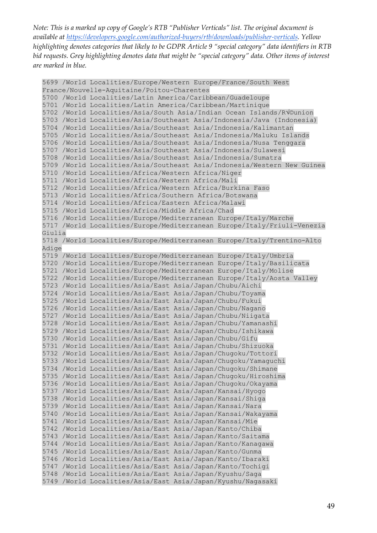5699 /World Localities/Europe/Western Europe/France/South West France/Nouvelle-Aquitaine/Poitou-Charentes 5700 /World Localities/Latin America/Caribbean/Guadeloupe 5701 /World Localities/Latin America/Caribbean/Martinique 5702 /World Localities/Asia/South Asia/Indian Ocean Islands/R√©union 5703 /World Localities/Asia/Southeast Asia/Indonesia/Java (Indonesia) 5704 /World Localities/Asia/Southeast Asia/Indonesia/Kalimantan 5705 /World Localities/Asia/Southeast Asia/Indonesia/Maluku Islands 5706 /World Localities/Asia/Southeast Asia/Indonesia/Nusa Tenggara 5707 /World Localities/Asia/Southeast Asia/Indonesia/Sulawesi 5708 /World Localities/Asia/Southeast Asia/Indonesia/Sumatra 5709 /World Localities/Asia/Southeast Asia/Indonesia/Western New Guinea 5710 /World Localities/Africa/Western Africa/Niger 5711 /World Localities/Africa/Western Africa/Mali 5712 /World Localities/Africa/Western Africa/Burkina Faso 5713 /World Localities/Africa/Southern Africa/Botswana 5714 /World Localities/Africa/Eastern Africa/Malawi 5715 /World Localities/Africa/Middle Africa/Chad 5716 /World Localities/Europe/Mediterranean Europe/Italy/Marche 5717 /World Localities/Europe/Mediterranean Europe/Italy/Friuli-Venezia Giulia 5718 /World Localities/Europe/Mediterranean Europe/Italy/Trentino-Alto Adige 5719 /World Localities/Europe/Mediterranean Europe/Italy/Umbria 5720 /World Localities/Europe/Mediterranean Europe/Italy/Basilicata 5721 /World Localities/Europe/Mediterranean Europe/Italy/Molise 5722 /World Localities/Europe/Mediterranean Europe/Italy/Aosta Valley 5723 /World Localities/Asia/East Asia/Japan/Chubu/Aichi 5724 /World Localities/Asia/East Asia/Japan/Chubu/Toyama 5725 /World Localities/Asia/East Asia/Japan/Chubu/Fukui 5726 /World Localities/Asia/East Asia/Japan/Chubu/Nagano 5727 /World Localities/Asia/East Asia/Japan/Chubu/Niigata 5728 /World Localities/Asia/East Asia/Japan/Chubu/Yamanashi 5729 /World Localities/Asia/East Asia/Japan/Chubu/Ishikawa 5730 /World Localities/Asia/East Asia/Japan/Chubu/Gifu 5731 /World Localities/Asia/East Asia/Japan/Chubu/Shizuoka 5732 /World Localities/Asia/East Asia/Japan/Chugoku/Tottori 5733 /World Localities/Asia/East Asia/Japan/Chugoku/Yamaguchi 5734 /World Localities/Asia/East Asia/Japan/Chugoku/Shimane 5735 /World Localities/Asia/East Asia/Japan/Chugoku/Hiroshima 5736 /World Localities/Asia/East Asia/Japan/Chugoku/Okayama 5737 /World Localities/Asia/East Asia/Japan/Kansai/Hyogo 5738 /World Localities/Asia/East Asia/Japan/Kansai/Shiga 5739 /World Localities/Asia/East Asia/Japan/Kansai/Nara 5740 /World Localities/Asia/East Asia/Japan/Kansai/Wakayama 5741 /World Localities/Asia/East Asia/Japan/Kansai/Mie 5742 /World Localities/Asia/East Asia/Japan/Kanto/Chiba 5743 /World Localities/Asia/East Asia/Japan/Kanto/Saitama 5744 /World Localities/Asia/East Asia/Japan/Kanto/Kanagawa 5745 /World Localities/Asia/East Asia/Japan/Kanto/Gunma 5746 /World Localities/Asia/East Asia/Japan/Kanto/Ibaraki 5747 /World Localities/Asia/East Asia/Japan/Kanto/Tochigi 5748 /World Localities/Asia/East Asia/Japan/Kyushu/Saga 5749 /World Localities/Asia/East Asia/Japan/Kyushu/Nagasaki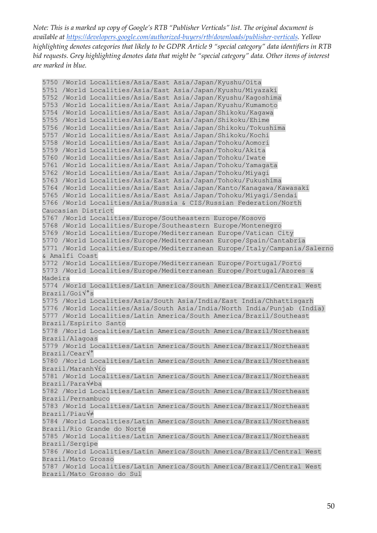```
5750 /World Localities/Asia/East Asia/Japan/Kyushu/Oita
5751 /World Localities/Asia/East Asia/Japan/Kyushu/Miyazaki
5752 /World Localities/Asia/East Asia/Japan/Kyushu/Kagoshima
5753 /World Localities/Asia/East Asia/Japan/Kyushu/Kumamoto
5754 /World Localities/Asia/East Asia/Japan/Shikoku/Kagawa
5755 /World Localities/Asia/East Asia/Japan/Shikoku/Ehime
5756 /World Localities/Asia/East Asia/Japan/Shikoku/Tokushima
5757 /World Localities/Asia/East Asia/Japan/Shikoku/Kochi
5758 /World Localities/Asia/East Asia/Japan/Tohoku/Aomori
5759 /World Localities/Asia/East Asia/Japan/Tohoku/Akita
5760 /World Localities/Asia/East Asia/Japan/Tohoku/Iwate
5761 /World Localities/Asia/East Asia/Japan/Tohoku/Yamagata
5762 /World Localities/Asia/East Asia/Japan/Tohoku/Miyagi
5763 /World Localities/Asia/East Asia/Japan/Tohoku/Fukushima
5764 /World Localities/Asia/East Asia/Japan/Kanto/Kanagawa/Kawasaki
5765 /World Localities/Asia/East Asia/Japan/Tohoku/Miyagi/Sendai
5766 /World Localities/Asia/Russia & CIS/Russian Federation/North 
Caucasian District
5767 /World Localities/Europe/Southeastern Europe/Kosovo
5768 /World Localities/Europe/Southeastern Europe/Montenegro
5769 /World Localities/Europe/Mediterranean Europe/Vatican City
5770 /World Localities/Europe/Mediterranean Europe/Spain/Cantabria
5771 /World Localities/Europe/Mediterranean Europe/Italy/Campania/Salerno 
& Amalfi Coast
5772 /World Localities/Europe/Mediterranean Europe/Portugal/Porto
5773 /World Localities/Europe/Mediterranean Europe/Portugal/Azores & 
Madeira
5774 /World Localities/Latin America/South America/Brazil/Central West 
Brazil/Goi√°s
5775 /World Localities/Asia/South Asia/India/East India/Chhattisgarh
5776 /World Localities/Asia/South Asia/India/North India/Punjab (India)
5777 /World Localities/Latin America/South America/Brazil/Southeast 
Brazil/Espirito Santo
5778 /World Localities/Latin America/South America/Brazil/Northeast 
Brazil/Alagoas
5779 /World Localities/Latin America/South America/Brazil/Northeast 
Brazil/Cear√°
5780 /World Localities/Latin America/South America/Brazil/Northeast 
Brazil/Maranh√£o
5781 /World Localities/Latin America/South America/Brazil/Northeast 
Brazil/Paraíba
5782 /World Localities/Latin America/South America/Brazil/Northeast 
Brazil/Pernambuco
5783 /World Localities/Latin America/South America/Brazil/Northeast 
Brazil/Piau\forall \neq5784 /World Localities/Latin America/South America/Brazil/Northeast 
Brazil/Rio Grande do Norte
5785 /World Localities/Latin America/South America/Brazil/Northeast 
Brazil/Sergipe
5786 /World Localities/Latin America/South America/Brazil/Central West 
Brazil/Mato Grosso
5787 /World Localities/Latin America/South America/Brazil/Central West 
Brazil/Mato Grosso do Sul
```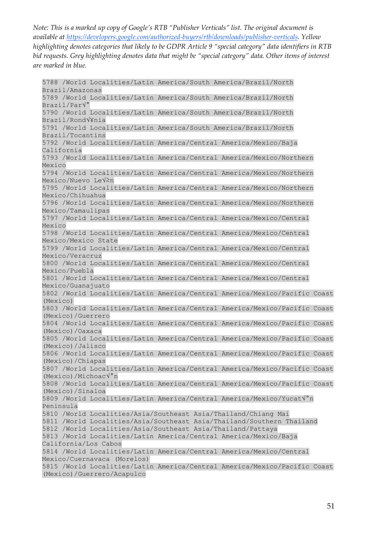5788 /World Localities/Latin America/South America/Brazil/North Brazil/Amazonas 5789 /World Localities/Latin America/South America/Brazil/North Brazil/Par√° 5790 /World Localities/Latin America/South America/Brazil/North Brazil/Rond√¥nia 5791 /World Localities/Latin America/South America/Brazil/North Brazil/Tocantins 5792 /World Localities/Latin America/Central America/Mexico/Baja California 5793 /World Localities/Latin America/Central America/Mexico/Northern Mexico 5794 /World Localities/Latin America/Central America/Mexico/Northern Mexico/Nuevo Le $\sqrt{\geq}$ n 5795 /World Localities/Latin America/Central America/Mexico/Northern Mexico/Chihuahua 5796 /World Localities/Latin America/Central America/Mexico/Northern Mexico/Tamaulipas 5797 /World Localities/Latin America/Central America/Mexico/Central Mexico 5798 /World Localities/Latin America/Central America/Mexico/Central Mexico/Mexico State 5799 /World Localities/Latin America/Central America/Mexico/Central Mexico/Veracruz 5800 /World Localities/Latin America/Central America/Mexico/Central Mexico/Puebla 5801 /World Localities/Latin America/Central America/Mexico/Central Mexico/Guanajuato 5802 /World Localities/Latin America/Central America/Mexico/Pacific Coast (Mexico) 5803 /World Localities/Latin America/Central America/Mexico/Pacific Coast (Mexico)/Guerrero 5804 /World Localities/Latin America/Central America/Mexico/Pacific Coast (Mexico)/Oaxaca 5805 /World Localities/Latin America/Central America/Mexico/Pacific Coast (Mexico)/Jalisco 5806 /World Localities/Latin America/Central America/Mexico/Pacific Coast (Mexico)/Chiapas 5807 /World Localities/Latin America/Central America/Mexico/Pacific Coast (Mexico)/Michoac√°n 5808 /World Localities/Latin America/Central America/Mexico/Pacific Coast (Mexico)/Sinaloa 5809 /World Localities/Latin America/Central America/Mexico/Yucat√°n Peninsula 5810 /World Localities/Asia/Southeast Asia/Thailand/Chiang Mai 5811 /World Localities/Asia/Southeast Asia/Thailand/Southern Thailand 5812 /World Localities/Asia/Southeast Asia/Thailand/Pattaya 5813 /World Localities/Latin America/Central America/Mexico/Baja California/Los Cabos 5814 /World Localities/Latin America/Central America/Mexico/Central Mexico/Cuernavaca (Morelos) 5815 /World Localities/Latin America/Central America/Mexico/Pacific Coast (Mexico)/Guerrero/Acapulco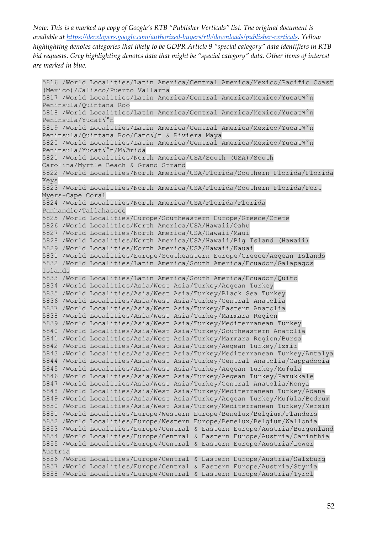5816 /World Localities/Latin America/Central America/Mexico/Pacific Coast (Mexico)/Jalisco/Puerto Vallarta 5817 /World Localities/Latin America/Central America/Mexico/Yucat√°n Peninsula/Quintana Roo 5818 /World Localities/Latin America/Central America/Mexico/Yucat√°n Peninsula/Yucat√°n 5819 /World Localities/Latin America/Central America/Mexico/Yucat√°n Peninsula/Quintana Roo/Canc√∫n & Riviera Maya 5820 /World Localities/Latin America/Central America/Mexico/Yucat√°n Peninsula/Yucat√°n/M√©rida 5821 /World Localities/North America/USA/South (USA)/South Carolina/Myrtle Beach & Grand Strand 5822 /World Localities/North America/USA/Florida/Southern Florida/Florida Keys 5823 /World Localities/North America/USA/Florida/Southern Florida/Fort Myers-Cape Coral 5824 /World Localities/North America/USA/Florida/Florida Panhandle/Tallahassee 5825 /World Localities/Europe/Southeastern Europe/Greece/Crete 5826 /World Localities/North America/USA/Hawaii/Oahu 5827 /World Localities/North America/USA/Hawaii/Maui 5828 /World Localities/North America/USA/Hawaii/Big Island (Hawaii) 5829 /World Localities/North America/USA/Hawaii/Kauai 5831 /World Localities/Europe/Southeastern Europe/Greece/Aegean Islands 5832 /World Localities/Latin America/South America/Ecuador/Galapagos Islands 5833 /World Localities/Latin America/South America/Ecuador/Quito 5834 /World Localities/Asia/West Asia/Turkey/Aegean Turkey 5835 /World Localities/Asia/West Asia/Turkey/Black Sea Turkey 5836 /World Localities/Asia/West Asia/Turkey/Central Anatolia 5837 /World Localities/Asia/West Asia/Turkey/Eastern Anatolia 5838 /World Localities/Asia/West Asia/Turkey/Marmara Region 5839 /World Localities/Asia/West Asia/Turkey/Mediterranean Turkey 5840 /World Localities/Asia/West Asia/Turkey/Southeastern Anatolia 5841 /World Localities/Asia/West Asia/Turkey/Marmara Region/Bursa 5842 /World Localities/Asia/West Asia/Turkey/Aegean Turkey/Izmir 5843 /World Localities/Asia/West Asia/Turkey/Mediterranean Turkey/Antalya 5844 /World Localities/Asia/West Asia/Turkey/Central Anatolia/Cappadocia 5845 /World Localities/Asia/West Asia/Turkey/Aegean Turkey/Muğla 5846 /World Localities/Asia/West Asia/Turkey/Aegean Turkey/Pamukkale 5847 /World Localities/Asia/West Asia/Turkey/Central Anatolia/Konya 5848 /World Localities/Asia/West Asia/Turkey/Mediterranean Turkey/Adana 5849 /World Localities/Asia/West Asia/Turkey/Aegean Turkey/Muğla/Bodrum 5850 /World Localities/Asia/West Asia/Turkey/Mediterranean Turkey/Mersin 5851 /World Localities/Europe/Western Europe/Benelux/Belgium/Flanders 5852 /World Localities/Europe/Western Europe/Benelux/Belgium/Wallonia 5853 /World Localities/Europe/Central & Eastern Europe/Austria/Burgenland 5854 /World Localities/Europe/Central & Eastern Europe/Austria/Carinthia 5855 /World Localities/Europe/Central & Eastern Europe/Austria/Lower Austria 5856 /World Localities/Europe/Central & Eastern Europe/Austria/Salzburg 5857 /World Localities/Europe/Central & Eastern Europe/Austria/Styria 5858 /World Localities/Europe/Central & Eastern Europe/Austria/Tyrol